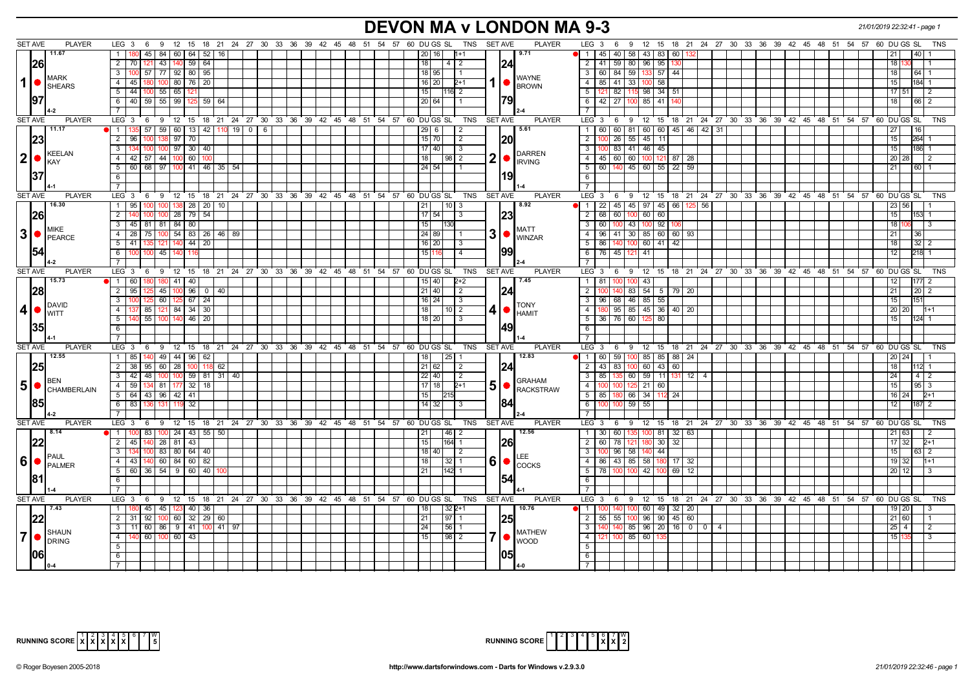# **DEVON MA v LONDON MA 9-3** *21/01/2019 22:32:41 - page 1*

| <b>SET AVE</b><br><b>PLAYER</b>                                            | <b>SET AVE</b><br>LEG $3 \quad 6$<br>9 12 15 18 21 24 27 30 33 36 39 42 45 48 51 54 57 60 DUGS SL TNS       | <b>PLAYER</b><br>LEG 3<br>9 12 15 18 21 24 27 30 33 36 39 42 45 48 51 54 57 60 DU GS SL<br>TNS<br>- 6                     |
|----------------------------------------------------------------------------|-------------------------------------------------------------------------------------------------------------|---------------------------------------------------------------------------------------------------------------------------|
| 11.67                                                                      | 9.71<br>$\overline{1}$<br>45<br>84<br>60<br>64<br>52<br>20                                                  | 40<br>58<br>$\mathbf{1}$<br>45<br>43<br>83 I<br>ഹ                                                                         |
| 26                                                                         | $140$ 59<br>2 I<br>70<br>43 I<br>  64  <br>18 I<br>$\sqrt{2}$<br>124                                        | 2 <sup>1</sup><br>41   59   80  <br>96 <sub>1</sub><br>95                                                                 |
|                                                                            | 77 92 80<br>$\overline{\mathbf{3}}$<br>100<br>57<br>95<br>$18$ 95                                           | 3   60   84   591<br>133 57 44<br>18<br>$64 \mid 1$                                                                       |
| <b>MARK</b>                                                                | <b>WAYNE</b><br>45 180<br>$100$ 80 $76$ 20<br>$16$   20<br>$2+1$<br>4                                       | $\overline{4}$<br>85 41 33 100 58<br>15 I<br>184 1                                                                        |
| $1  \bullet  $<br>SHEARS                                                   | 1 ●<br><b>BROWN</b>                                                                                         |                                                                                                                           |
|                                                                            | $5 \mid 44 \mid 100 \mid 55 \mid 65 \mid 12$<br>15<br>$116$ 2                                               | $\overline{5}$<br>121 82 115 98 34 51<br>17   51                                                                          |
| 197                                                                        | 1791<br>$6$ $40$ $59$ $55$ $99$<br>20 64<br>$59$ 64                                                         | $\overline{6}$<br>  42   27   100<br>85 41                                                                                |
|                                                                            |                                                                                                             |                                                                                                                           |
| <b>SET AVE</b><br><b>PLAYER</b>                                            | 18 21 24 27 30 33 36 39 42 45 48 51 54 57 60 DUGS SL<br>LEG 3<br>9 12 15<br>TNS<br>SET AVE<br>- 6           | 12 15 18 21 24 27 30 33 36 39 42 45 48 51 54 57 60 DUGS SL<br><b>PLAYER</b><br>LEG <sub>3</sub><br><b>TNS</b><br>6<br>9   |
| 11.17                                                                      | 5.61<br>57<br>$59$ 60 13 42 110 19 0 6<br>l 1 l<br>29 6<br>$\overline{2}$                                   | $60 \ 60 \ 81 \ 60 \ 60 \ 45 \ 46 \ 42 \ 31$<br>$\overline{1}$                                                            |
| 23                                                                         | $97$ 70<br>15 70<br> 20 <br>2 <sup>1</sup><br>96<br>$\overline{2}$                                          | $\overline{2}$<br>$26$ 55 45<br>11<br>15<br>264                                                                           |
|                                                                            | $100$ 97 30<br>17140<br>3 <sup>1</sup><br>134<br>40<br>$\overline{\mathbf{3}}$                              | $\overline{\mathbf{3}}$<br>100 83 41 46 45<br>186<br>15                                                                   |
| KEELAN                                                                     | <b>DARREN</b>                                                                                               |                                                                                                                           |
| 2 • <br><b>I</b> KAY                                                       | 2<br>$4$   42   57   44   100   60<br>$98 \mid 2$<br>18 I<br><b>IRVING</b>                                  | 4 4 5 60 60 100 121 87 28<br>20 28<br>$\overline{2}$                                                                      |
|                                                                            | 5 60 68 97 100 41 46 35 54<br>$24 \overline{)54}$                                                           | $5\overline{)}$<br>60   140   45   60   55   22  <br>59<br>21<br><b>60</b>                                                |
| 37                                                                         | 19<br>6                                                                                                     | 6                                                                                                                         |
|                                                                            |                                                                                                             |                                                                                                                           |
| <b>PLAYER</b><br><b>SET AVE</b>                                            | 18 21 24 27 30 33 36 39 42 45 48 51 54 57 60 DUGS SL<br><b>SET AVE</b><br>$LEG_3$ 6<br>$9 \t12 \t15$<br>TNS | <b>PLAYER</b><br>12 15 18 21 24 27 30 33 36 39 42 45 48 51 54 57 60 DUGS SL<br>LEG <sup>3</sup><br>່ 9<br><b>TNS</b><br>6 |
| 16.30                                                                      | 1   95   100   100   138   28   20   10<br>8.92<br>1013<br>21                                               | 22 45 45 97 45 66 125 56<br>$\overline{1}$<br>23 56                                                                       |
| 26                                                                         | $\overline{2}$<br>100 28 79 54<br>140<br> 23 <br>3                                                          | 2   68   60   100   60   60<br>15<br>153                                                                                  |
|                                                                            | 3 45 81 81 84 80<br>15                                                                                      | 3   60   100   43   100   92  <br>18 <sup>1</sup>                                                                         |
| <b>MIKE</b>                                                                | <b>MATT</b>                                                                                                 |                                                                                                                           |
|                                                                            | 3 •<br>4   28   75   100   54   83   26   46   89<br>24 89<br><b>WINZAR</b>                                 | $96$   41   30   85   60   60   93  <br>$\overline{4}$<br>21<br>36                                                        |
|                                                                            | $5 - 41$ 135<br>121 140 44<br>20<br>$16$   20<br>$\overline{3}$                                             | 5<br>140 100 60 41 42<br>86<br>$32 \mid 2$<br>18 <sup>1</sup>                                                             |
|                                                                            | 1991<br>61<br>100 <sup>1</sup><br>  45   140   11<br>15 1116<br>$\overline{4}$<br>100                       | $6\overline{6}$<br>76 45 121<br>41<br>218<br>12                                                                           |
|                                                                            | $7^{\circ}$                                                                                                 | $\overline{7}$                                                                                                            |
| <b>SET AVE</b><br><b>PLAYER</b>                                            | LEG $3 \quad 6$<br>9 12 15 18 21 24 27 30 33 36 39 42 45 48 51 54 57 60 DUGSSL TNS<br>SET AVE               | PLAYER<br>LEG 3<br>6 9 12 15 18 21 24 27 30 33 36 39 42 45 48 51 54 57 60 DUGS SL<br><b>TNS</b>                           |
| 15.73                                                                      | 7.45<br>180   41   40<br>$\bullet$ 1 60<br>15   40  <br>$2 + 2$                                             | 1   81  <br> 43 <br>100<br>177<br>12.                                                                                     |
| 28                                                                         | $2 \mid 95$<br>45   100   96  <br>0   40<br>21 40<br>$\vert$ 2<br>124                                       | $\overline{2}$<br>$\frac{100}{140}$ $\frac{140}{83}$ $\frac{54}{5}$ $\frac{5}{79}$ $\frac{20}{5}$<br>20<br>21             |
|                                                                            | 60   125   67<br>$16$   24<br>100<br>24<br>$\sqrt{3}$<br>3 <sup>1</sup>                                     | $\overline{\mathbf{3}}$<br>96 68 46 85 55<br>15<br>151                                                                    |
| ∥DAVID                                                                     | <b>TONY</b><br>137 85 121 84 34 30<br>$10$   2<br>4<br>18                                                   | $\overline{4}$<br>180   95   85   45   36   40   20<br>$1 + 1$                                                            |
| $\ 4\ $ $\bullet$ $\ _{\mathsf{WITT}}^{\mathsf{DAVIL}}$                    | 4 ●<br><b>HAMIT</b>                                                                                         | 20 20                                                                                                                     |
|                                                                            | 5   140   55   100   140   46   20  <br>$18$   20<br>3                                                      | 5<br>36 76 60 125 80<br>15 <sup>1</sup><br>124                                                                            |
| 35                                                                         | <b>149</b><br>6                                                                                             | 6                                                                                                                         |
|                                                                            |                                                                                                             | $\overline{7}$                                                                                                            |
| <b>SET AVE</b><br><b>PLAYER</b>                                            | LEG 3 6 9 12 15 18 21 24 27 30 33 36 39 42 45 48 51 54 57 60 DUGS SL<br><b>TNS</b><br><b>SET AVE</b>        | <b>PLAYER</b><br>6 9 12 15 18 21 24 27 30 33 36 39 42 45 48 51 54 57 60 DUGSSL<br>LEG <sub>3</sub><br>TNS                 |
| 12.55                                                                      | 12.83<br>49 44 96 62<br>1<br>85<br>18<br>25                                                                 | 60   59   100   85   85   88   24<br>$\overline{1}$<br><b>24</b>                                                          |
| 25                                                                         | 38<br>95<br>$60 \mid 28$<br>21 62<br>124<br>$\overline{2}$<br>1100<br>118 62<br>l 2                         | $\overline{2}$<br>43<br>83 100<br>60 43 60<br>18 l<br>112                                                                 |
|                                                                            | $3   42   48   100   100   59   81   31   40$<br>22   40  <br>$\sqrt{2}$                                    | $\overline{3}$<br>85   135   60   59   11   131   12   4<br>$4 \mid 2$<br>24                                              |
| BEN<br>$\sqrt{5}$ $\bullet$ $\sqrt{\frac{\text{BEN}}{\text{CHAMBERLAIN}}}$ | <b>GRAHAM</b><br>5<br>$4 \mid 59$<br>134 81 177 32<br>  18  <br>$17$   18<br>2+1                            | $\overline{4}$<br>00 125 21 60<br>$95 \mid 3$<br>15 I                                                                     |
|                                                                            | <b>RACKSTRAW</b><br>5 64 43 96 42 41<br>15                                                                  | 5<br>180 66 34 112 24<br>85<br>$2+1$<br>16 24                                                                             |
| 85                                                                         | $6 \mid 83$                                                                                                 | 6                                                                                                                         |
|                                                                            | 131 119 32<br>136<br>$14$ 32<br>-3                                                                          | 100 100 59 55<br>$\overline{12}$<br>187 2                                                                                 |
|                                                                            |                                                                                                             | $\overline{7}$                                                                                                            |
| <b>SET AVE</b><br><b>PLAYER</b>                                            | LEG 3 6 9 12 15 18 21 24 27 30 33 36 39 42 45 48 51 54 57 60 DUGSSL<br>TNS<br><b>SET AVE</b>                | <b>PLAYER</b><br>LEG 3 6 9 12 15 18 21 24 27 30 33 36 39 42 45 48 51 54 57 60 DUGS SL<br><b>TNS</b>                       |
| 8.14                                                                       | $\sqrt{1}$<br>$100$ 24 43 55 50<br> 46 2<br>12.56<br>$100$ 83<br>$\overline{21}$                            | $\overline{1}$<br>30 60 135 100 81 32 63                                                                                  |
| 122                                                                        | $28 \ 81 \ 43$<br>$2 \mid 45 \mid$<br>15<br>140<br>164 1<br>1261                                            | $\overline{2}$<br>$30 \mid 32$<br>60 78 121<br>32<br>17                                                                   |
|                                                                            | 83 80 64 40<br>3 <sup>1</sup><br>$18$ 40<br>134<br>$\vert$ 2                                                | 0 96 58 140 44<br>15                                                                                                      |
| PAUL<br>$60$ $\Gamma$ Palmer                                               | $6  \bullet$<br>43 140 60 84 60 82<br>18<br>32 1<br>4                                                       | 86 43 85 58 180 17 32<br>$\overline{4}$<br>19 <sup>1</sup><br>32                                                          |
|                                                                            | <b>COCKS</b><br>$60 \mid 36 \mid 54 \mid 9 \mid 60 \mid 40$<br>5 <sub>1</sub><br>21<br>142 1                | $\overline{5}$<br>78 100 100 42 100 69 12<br>20112                                                                        |
| <b>181</b>                                                                 |                                                                                                             |                                                                                                                           |
|                                                                            | 6                                                                                                           | 6                                                                                                                         |
|                                                                            |                                                                                                             | $\overline{7}$                                                                                                            |
| <b>SET AVE</b><br><b>PLAYER</b>                                            | 9 12 15 18 21 24 27 30 33 36 39 42 45 48 51 54 57 60 DUGS SL<br>LEG $3 \quad 6$<br>TNS<br><b>SET AVE</b>    | <b>PLAYER</b><br>9 12 15 18 21 24 27 30 33 36 39 42 45 48 51 54 57 60 DUGS SL<br>LEG 3<br><b>TNS</b><br>6                 |
| $7.43$                                                                     | 45<br>45   123   40   36  <br>$322+1$<br>10.76<br>1 <sup>1</sup><br>18 <sup>1</sup><br>180                  | 140 100 60 49 32 20<br>1   100<br>19   20                                                                                 |
| 122                                                                        | 100 60 32 29 60<br>$2 \mid 31$<br>92<br>21<br>9711<br><b>25</b>                                             | $55$   $55$   $100$<br>96 90 45 60<br>$\overline{2}$<br>21 60                                                             |
|                                                                            | 3   11   60   86   9   41   100   41   97<br>24<br> 56 1                                                    | $\overline{\mathbf{3}}$<br>140   140   85   96   20   16   0   0   4<br>$25 \mid 4 \mid$<br>$\overline{2}$                |
| SHAUN<br>$7\bullet$                                                        | <b>MATHEW</b><br>4 140 60 100 60 43<br> 98 2<br>15                                                          | 121 100 85 60<br>$\overline{4}$<br>15 I                                                                                   |
| DRING                                                                      | <b>WOOD</b><br>-5                                                                                           | 5                                                                                                                         |
| 106                                                                        |                                                                                                             |                                                                                                                           |
|                                                                            |                                                                                                             | 6                                                                                                                         |
|                                                                            |                                                                                                             |                                                                                                                           |

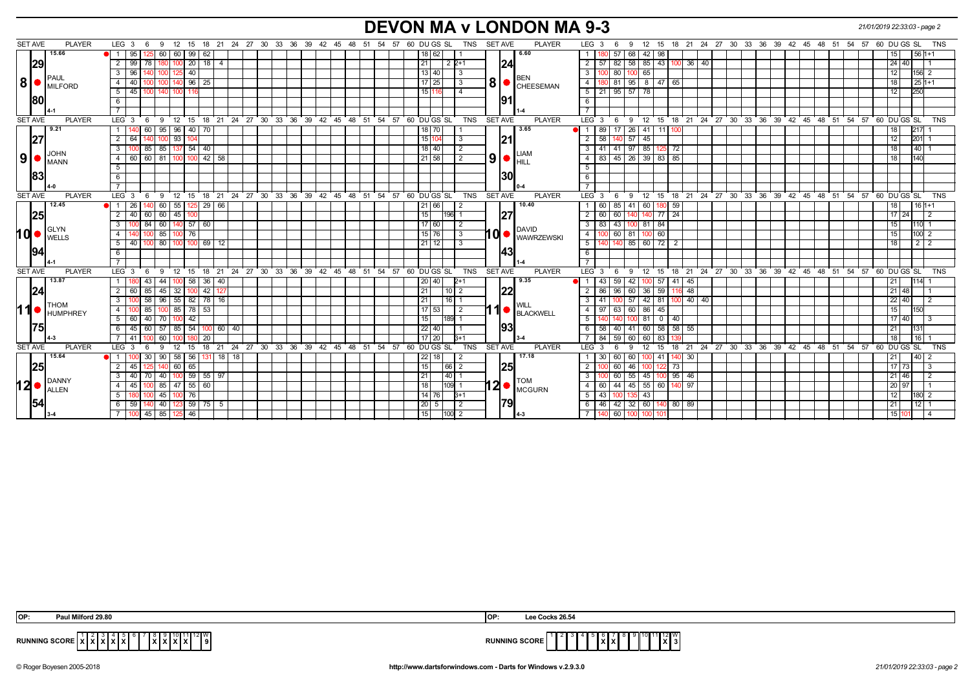# **DEVON MA v LONDON MA 9-3** *21/01/2019 22:33:03 - page 2*

| <b>SET AVE</b> | <b>PLAYER</b>              | LEG $3 \quad 6$                                                      | -9                             | 12 15 18 21 24 27 30 33 36 39 42 45 48 51 54 57 60 DU GS SL |     |  |  |  |  |                   |                | TNS            | <b>SET AVE</b> | <b>PLAYER</b>                                                 | LEG 3<br>- 6                                               | 9                            |                    |                 |  |  |  | 12 15 18 21 24 27 30 33 36 39 42 45 48 51 54 57 60 DU GS SL |                   | TNS                                                              |
|----------------|----------------------------|----------------------------------------------------------------------|--------------------------------|-------------------------------------------------------------|-----|--|--|--|--|-------------------|----------------|----------------|----------------|---------------------------------------------------------------|------------------------------------------------------------|------------------------------|--------------------|-----------------|--|--|--|-------------------------------------------------------------|-------------------|------------------------------------------------------------------|
|                | 15.66                      | 1 95                                                                 | 125 60 60 99 62                |                                                             |     |  |  |  |  | 18   62           |                |                |                | 6.60                                                          |                                                            | 57 68 42 98                  |                    |                 |  |  |  | 15 <sup>1</sup>                                             |                   | $561+1$                                                          |
| 29             |                            | $2 \mid 99$                                                          | 78   180                       | $100$ 20 18 4                                               |     |  |  |  |  | 21                | 2   2+1        |                |                | 124                                                           | $\overline{2}$<br>  57   82   58   85   43   100   36   40 |                              |                    |                 |  |  |  |                                                             | $24 \mid 40 \mid$ |                                                                  |
|                |                            | 96<br>3                                                              | 125 I<br>1401 1001             | 40                                                          |     |  |  |  |  | 13 40             | l 3            |                |                |                                                               | $\overline{3}$                                             | 80 100 65                    |                    |                 |  |  |  | 12                                                          |                   | 156 2                                                            |
| 8              | <b>I</b> PAUL              | 40<br>4                                                              |                                | 140   96   25                                               |     |  |  |  |  | $17 \mid 25$      | 3              |                |                | $\mathbf{8}$ $\bullet$ CHEESEMAN                              | $\overline{4}$                                             | 81 95 8 47 65                |                    |                 |  |  |  |                                                             |                   | $251+1$                                                          |
|                | MILFORD                    | $5 \mid 45 \mid$                                                     | 100<br>100 140                 |                                                             |     |  |  |  |  | 15 11             | $\overline{A}$ |                |                |                                                               | 21   95   57   78<br>5                                     |                              |                    |                 |  |  |  | 12 <sub>1</sub>                                             |                   | 250                                                              |
| 180            |                            | 6                                                                    |                                |                                                             |     |  |  |  |  |                   |                |                |                | 191                                                           | 6                                                          |                              |                    |                 |  |  |  |                                                             |                   |                                                                  |
|                |                            |                                                                      |                                |                                                             |     |  |  |  |  |                   |                |                |                |                                                               | $\overline{7}$                                             |                              |                    |                 |  |  |  |                                                             |                   |                                                                  |
| <b>SET AVE</b> | <b>PLAYER</b>              | LEG 3 6 9 12 15 18 21 24 27 30 33 36 39 42 45 48 51 54 57 60 DUGS SL |                                |                                                             |     |  |  |  |  |                   |                | TNS            | <b>SET AVE</b> | <b>PLAYER</b>                                                 | LEG <sup>3</sup><br>6                                      |                              |                    |                 |  |  |  |                                                             |                   | 9 12 15 18 21 24 27 30 33 36 39 42 45 48 51 54 57 60 DUGS SL TNS |
|                | 9.21                       | 140                                                                  | 60 95 96 40 70                 |                                                             |     |  |  |  |  | 18 70             |                |                |                | 3.65                                                          | -89 I<br>¶ 1 ·                                             | $17$ 26 41                   | 11   100           |                 |  |  |  |                                                             |                   | 217                                                              |
| 27             |                            | 64<br>2 <sup>1</sup>                                                 | 93                             |                                                             |     |  |  |  |  | 15                | -3             |                |                | 121                                                           | $\overline{2}$<br>58<br>$140$ 57                           | 45                           |                    |                 |  |  |  | 12 <sup>1</sup>                                             |                   | 201                                                              |
|                |                            | 3<br>100                                                             | 85 85<br>137                   | $54$ 40                                                     |     |  |  |  |  | $18$ 40           |                |                |                | <b>LIAM</b>                                                   | $41$   97<br>41<br>3                                       | 85                           | 72<br>125          |                 |  |  |  |                                                             |                   | 40                                                               |
| 9 ·            | $\bigcirc$ $\bigcirc$ MANN | $4 \overline{60}$                                                    | 60 81 100 100 42 58            |                                                             |     |  |  |  |  | $21$ 58           | 2              |                |                | $\vert 9 \vert$ $\bullet$ $\vert_{\text{HILL}}^{\text{LINW}}$ | 83 45 26 39 83 85<br>$\overline{4}$                        |                              |                    |                 |  |  |  | 18                                                          |                   | 140                                                              |
|                |                            | 5                                                                    |                                |                                                             |     |  |  |  |  |                   |                |                |                |                                                               | 5                                                          |                              |                    |                 |  |  |  |                                                             |                   |                                                                  |
| 83             |                            | 6                                                                    |                                |                                                             |     |  |  |  |  |                   |                |                |                | 1301                                                          | 6                                                          |                              |                    |                 |  |  |  |                                                             |                   |                                                                  |
|                |                            | $\overline{7}$                                                       |                                |                                                             |     |  |  |  |  |                   |                |                |                |                                                               | $\overline{7}$                                             |                              |                    |                 |  |  |  |                                                             |                   |                                                                  |
| <b>SET AVE</b> | <b>PLAYER</b>              | LEG $3 \t6 \t9$                                                      |                                | 12 15 18 21 24 27 30 33 36 39 42 45 48 51 54 57             |     |  |  |  |  | 60 DU GS SL       |                | TNS            | <b>SET AVE</b> | <b>PLAYER</b>                                                 | LEG 3<br>- 6                                               |                              |                    |                 |  |  |  |                                                             |                   | 9 12 15 18 21 24 27 30 33 36 39 42 45 48 51 54 57 60 DUGSSL TNS  |
|                | 12.45                      | $1 \mid 26$                                                          | 55<br>60                       | $\vert 29 \vert$                                            | 66  |  |  |  |  | 66                |                |                |                | 10.40                                                         | 60<br>85<br>1                                              | 41<br>-60                    | 80 59              |                 |  |  |  |                                                             |                   | 16 1+1                                                           |
| 25             |                            | $2 \mid 40 \mid$                                                     | $145$   100<br>60 60           |                                                             |     |  |  |  |  | 15                | <b>1196</b> 1  |                |                | 127                                                           | $\overline{2}$<br>60 60 140 140 77 24                      |                              |                    |                 |  |  |  |                                                             | $17$   24         | l 2                                                              |
|                |                            | $\mathbf{3}$<br>100                                                  | 84 60                          | $140$ 57 60                                                 |     |  |  |  |  | 17   60           | $\overline{2}$ |                |                | <b>DAVID</b>                                                  | 83 43 100 81 84<br>$\overline{\mathbf{3}}$                 |                              |                    |                 |  |  |  | 15                                                          |                   | $110 - 1$                                                        |
|                | 10   GLYN                  | $\overline{4}$<br>140                                                | 100 85                         | 100 76                                                      |     |  |  |  |  | $15\overline{76}$ | 3              |                | 10 C           | <b>WAWRZEWSKI</b>                                             | $\overline{4}$                                             | 60 81 100 60                 |                    |                 |  |  |  |                                                             |                   | 100 2                                                            |
|                |                            | $5$   40   100   80   100   100   69   12                            |                                |                                                             |     |  |  |  |  | 21   12           | $\overline{3}$ |                |                |                                                               | 5<br>$140$ 140 85 60 72 2                                  |                              |                    |                 |  |  |  | 18                                                          |                   | $2 \mid 2$                                                       |
| 94             |                            | -6                                                                   |                                |                                                             |     |  |  |  |  |                   |                |                |                | 143                                                           | $6\overline{6}$                                            |                              |                    |                 |  |  |  |                                                             |                   |                                                                  |
|                |                            |                                                                      |                                |                                                             |     |  |  |  |  |                   |                |                |                |                                                               | $\overline{7}$                                             |                              |                    |                 |  |  |  |                                                             |                   |                                                                  |
| <b>SET AVE</b> | <b>PLAYER</b>              | LEG <sub>3</sub><br>6                                                | 9                              | 12 15 18 21 24 27 30 33 36 39 42 45 48 51 54 57 60 DUGSSL   |     |  |  |  |  |                   |                | <b>TNS</b>     | <b>SET AVE</b> | <b>PLAYER</b>                                                 | LEG <sub>3</sub><br>6                                      | 12<br>9                      |                    |                 |  |  |  |                                                             |                   | 15 18 21 24 27 30 33 36 39 42 45 48 51 54 57 60 DUGS SL TNS      |
|                | 13.87                      | 180                                                                  | 43   44                        | 100 58 36 40                                                |     |  |  |  |  | 20 40             | $2+1$          |                |                | 9.35                                                          | 59 42<br>-43 I                                             |                              | $100$ 57 41        | 45              |  |  |  |                                                             |                   |                                                                  |
| 24             |                            | 2 60                                                                 | 32 <br>85   45                 | $100$ 42                                                    | 12. |  |  |  |  | 21                | 10 2           |                |                | 22                                                            | 2<br>86                                                    | 96 60 36 59                  |                    | 48              |  |  |  |                                                             | 21148             |                                                                  |
|                | <b>THOM</b>                | $\mathbf{3}$                                                         | 58   96                        | 55 82 78 16                                                 |     |  |  |  |  | 21                | $16$ 1         |                |                |                                                               | 3<br>  41                                                  | $100$ 57                     |                    | 42 81 100 40 40 |  |  |  |                                                             | 22   40           |                                                                  |
| 11             | HUMPHREY                   | 4 I<br>100                                                           | 85   100   85   78   53        |                                                             |     |  |  |  |  | $17$ 53           | l 2            |                |                | <b>BLACKWELL</b>                                              | 97  <br>$\overline{4}$                                     | 63 60 86 45                  |                    |                 |  |  |  | 15                                                          |                   |                                                                  |
|                |                            | 5 60                                                                 | 40   70<br>100 I               | 42                                                          |     |  |  |  |  | 15                | 189 1          |                |                |                                                               | 5                                                          | 81                           | 0   40             |                 |  |  |  |                                                             | 17 40             |                                                                  |
| 75             |                            | $6 \mid 45 \mid$                                                     | $60$   57   85   54   100   60 |                                                             | 40  |  |  |  |  | $22$ 40           |                |                |                | 1931                                                          | 6<br>$58$   40   41                                        |                              | 60 58 58           | 55              |  |  |  | 21                                                          |                   |                                                                  |
|                | l 4-3                      | 7   41                                                               | 100 60<br>1001                 | 180 20                                                      |     |  |  |  |  | $17$   20         | $B+1$          |                |                |                                                               | 84 59 60                                                   | 60 I                         | 83                 |                 |  |  |  | 18                                                          |                   | $16$ 1                                                           |
| <b>SET AVE</b> | <b>PLAYER</b>              | LEG <sub>3</sub><br>- 6                                              | - 9                            | 12 15 18 21 24 27 30 33 36 39 42 45 48 51 54 57 60 DUGSSL   |     |  |  |  |  |                   |                | TNS            | <b>SET AVE</b> | <b>PLAYER</b>                                                 | LEG <sub>3</sub><br>- 6                                    | 12<br>-9                     |                    |                 |  |  |  | 15 18 21 24 27 30 33 36 39 42 45 48 51 54 57 60 DUGS SL     |                   | <b>TNS</b>                                                       |
|                | 15.64                      | 1 1 10 0                                                             | 30 90                          | 58 56 131 18 18                                             |     |  |  |  |  | $22$ 18           | $\overline{2}$ |                |                | 17.18                                                         | 30                                                         | 60 60 100 41                 | 140                | 30              |  |  |  | 21                                                          |                   | $40$   2                                                         |
| 25             |                            | 45<br>$2^{\circ}$                                                    | 60 65<br>125 140               |                                                             |     |  |  |  |  | 15                | 66 2           |                |                | <b>1251</b>                                                   | 2<br>60 46                                                 | 100 L                        | 122 73             |                 |  |  |  |                                                             | 17173             |                                                                  |
|                |                            | 40 l<br>3                                                            | 70   40                        | 100 59 55 97                                                |     |  |  |  |  | 21                | 40 1           |                |                | <b>TOM</b>                                                    | 3                                                          | 60 55 45                     | $100$ 95 $\mid$ 46 |                 |  |  |  |                                                             | 21   46           |                                                                  |
|                |                            | 4 4 5                                                                | $100$ 85 47 55 60              |                                                             |     |  |  |  |  | 18                | 109  1         |                | 2∣             | <b>MCGURN</b>                                                 | 44<br>4<br>- 60 I                                          | 45 55 60                     | 140                | 97              |  |  |  |                                                             | 20   97           |                                                                  |
|                |                            | 5 1 1 8 0                                                            | $100$ 45                       | 100 76                                                      |     |  |  |  |  | 14 76             | $B+1$          |                |                |                                                               | 5 <sup>1</sup><br>  43  <br>100 I                          | $-43$<br>135                 |                    |                 |  |  |  | 12 I                                                        |                   | 180 2                                                            |
| 1541           |                            | 59<br>6                                                              | $140$ 40                       | 123 59 75 5                                                 |     |  |  |  |  | $20 \mid 5$       |                | $\overline{2}$ |                |                                                               | 6<br>46 I                                                  | 42   32   60   140   80   89 |                    |                 |  |  |  | 21                                                          |                   | $12 \mid 1$                                                      |
|                |                            | 7 100                                                                | $45 \mid 85$<br>1251           | 46                                                          |     |  |  |  |  | 15                | $ 100 $ 2      |                |                |                                                               | $\overline{7}$                                             | 60 100 100                   |                    |                 |  |  |  |                                                             | 1511              |                                                                  |

| <b>OP</b>     | .<br>Milford 29.80<br>ו ופD  | IOP: | ooko 30.51<br><b>ARKS 20.5</b>   |
|---------------|------------------------------|------|----------------------------------|
| <b>RUNNIN</b> | ا 9<br>$\sim$<br>.<br>.<br>. |      | 12 I W<br><b>SCORI</b><br>.<br>. |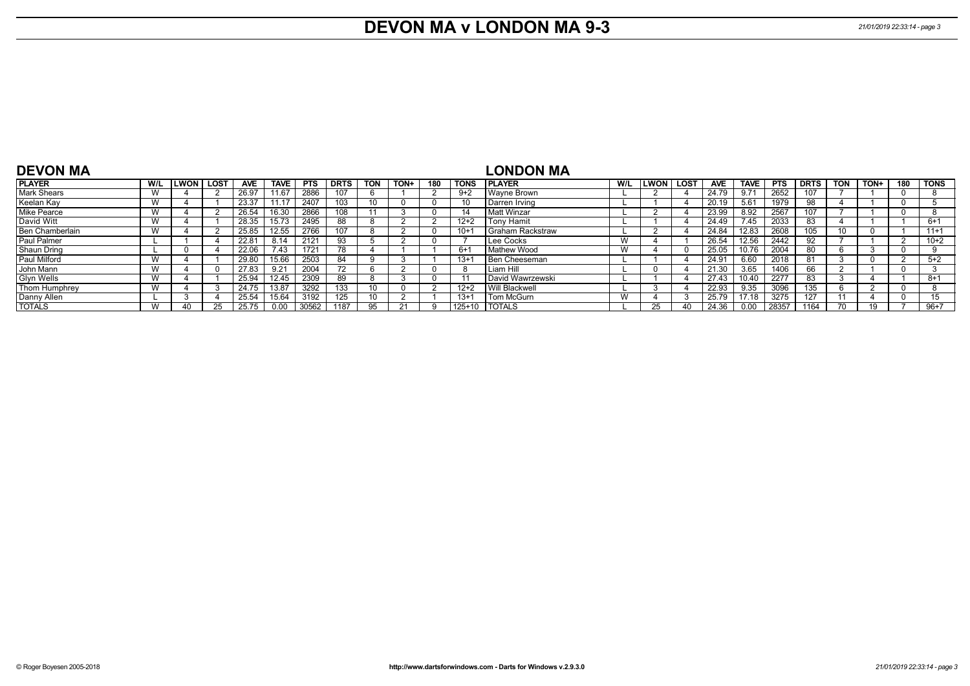# **DEVON MA v LONDON MA 9-3** *21/01/2019 22:33:14 - page 3*

| <b>DEVON MA</b>     |     |             |            |             |            |             |            |      |     |          | <b>LONDON MA</b>      |     |          |      |            |             |            |             |            |      |     |             |
|---------------------|-----|-------------|------------|-------------|------------|-------------|------------|------|-----|----------|-----------------------|-----|----------|------|------------|-------------|------------|-------------|------------|------|-----|-------------|
| <b>PLAYER</b>       | W/L | LWON   LOST | <b>AVE</b> | <b>TAVE</b> | <b>PTS</b> | <b>DRTS</b> | <b>TON</b> | TON+ | 180 | TONS     | <b>I PLAYER</b>       | W/L | l LWON l | LOST | <b>AVE</b> | <b>TAVE</b> | <b>PTS</b> | <b>DRTS</b> | <b>TON</b> | TON+ | 180 | <b>TONS</b> |
| <b>Mark Shears</b>  |     |             | 26.97      | 11.67       | 2886       |             |            |      |     | $9+2$    | Wavne Brown           |     |          |      | 24.79      | 9.71        | 2652       | 107         |            |      |     |             |
| Keelan Kay          | W   |             | 23.37      | 11.17       | 2407       | 103         | 10         |      |     |          | I Darren Irving       |     |          |      | 20.19      | 5.61        | 1979       | 98          |            |      |     |             |
| Mike Pearce         | W   |             | 26.54      | 16.30       | 2866       | 108         |            |      |     |          | <b>Matt Winzar</b>    |     |          |      | 23.99      | 8.92        | 2567       | 107         |            |      |     |             |
| David Witt          | W   |             | 28.35      | 15.73       | 2495       | 88          |            |      |     | $12+2$   | <b>Tony Hamit</b>     |     |          |      | 24.49      | 7.45        | 2033       | 83          |            |      |     | $6+1$       |
| Ben Chamberlain     | W   |             | 25.85      | 12.55       | 2766       | 107         |            |      |     | $10 + 7$ | Graham Rackstraw      |     |          |      | 24.84      | 12.83       | 2608       | 105         |            |      |     | $11+1$      |
| <b>Paul Palmer</b>  |     |             | 22.81      | 8.14        | 2121       | 93          |            |      |     |          | Lee Cocks             | W   |          |      | 26.54      | 12.56       | 2442       | 92          |            |      |     | $10+2$      |
| Shaun Dring         |     |             | 22.06      | 7.43        | 1721       | 78          |            |      |     | $6+1$    | Mathew Wood           | W   |          |      | 25.05      | 10.76       | 2004       | 80          | 'n         |      |     |             |
| <b>Paul Milford</b> | W   |             | 29.80      | 15.66       | 2503       | 84          |            |      |     | $13 + 7$ | <b>Ben Cheeseman</b>  |     |          |      | 24.91      | 6.60        | 2018       | 81          |            |      |     | $5+2$       |
| John Mann           | W   |             | 27.83      | 9.21        | 2004       | 72          |            |      |     |          | Liam Hill             |     |          |      | 21.30      | 3.65        | 1406       | 66          |            |      |     |             |
| <b>Glyn Wells</b>   | W   |             | 25.94      | 12.45       | 2309       | 89          |            |      |     |          | David Wawrzewski      |     |          |      | 27.43      | 10.40       | 2277       | 83          |            |      |     | $8+1$       |
| Thom Humphrey       | W   |             | 24.75      | 13.87       | 3292       | 133         | 10         |      |     | $12+2$   | <b>Will Blackwell</b> |     |          |      | 22.93      | 9.35        | 3096       | 135         |            |      |     |             |
| Danny Allen         |     |             | 25.54      | 15.64       | 3192       | 125         | 10         |      |     | $13+1$   | Tom McGurn            | W   |          |      | 25.79      | 17.18       | 3275       | 127         |            |      |     | 15          |
| <b>TOTALS</b>       | W   |             | 25.75      | 0.00        | 30562      | 1187        |            |      |     | $125+10$ | <b>I TOTALS</b>       |     |          | 40   | 24.36      | 0.00        | 28357      | 1164        |            |      |     | $96+7$      |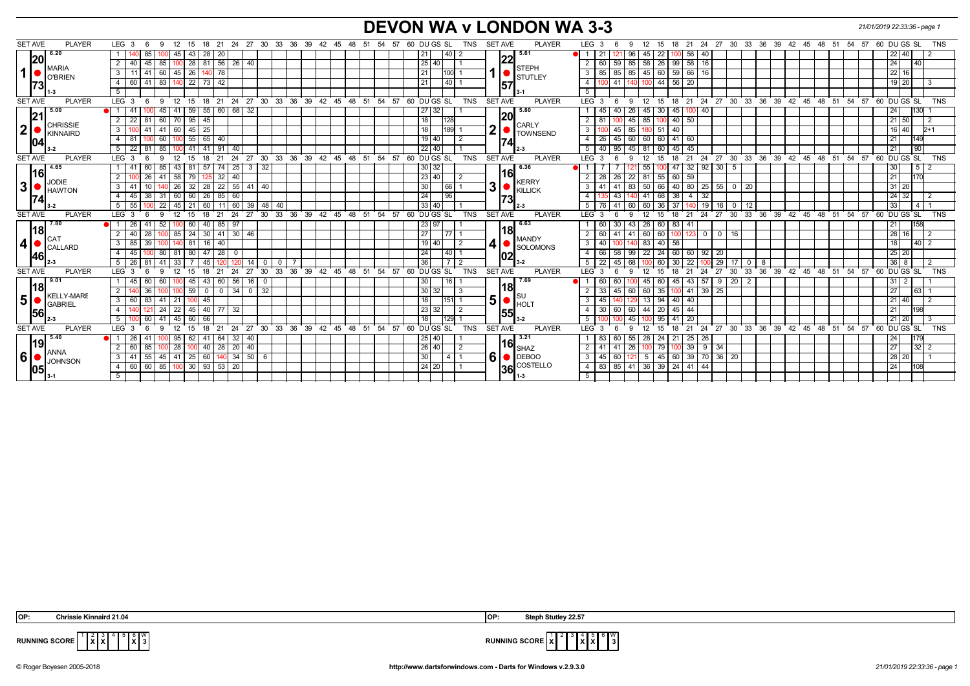# **DEVON WA v LONDON WA 3-3** *21/01/2019 22:33:36 - page 1*

| <b>SET AVE</b><br><b>PLAYER</b>                     | LEG <sub>3</sub><br>12<br>15<br>18 21<br>- 6<br>9                        |                                                   |           | 24 27 30 33 36 39 42 45 48 51 54 57            |       | 60 DU GS SL<br>TNS         | <b>SET AVE</b><br><b>PLAYER</b> | 18  21  24  27  30  33  36  39  42  45  48  51  54  57  60  DU GS  SL<br>LEG 3<br>12 15<br>9<br>- 6                               | <b>TNS</b>                |
|-----------------------------------------------------|--------------------------------------------------------------------------|---------------------------------------------------|-----------|------------------------------------------------|-------|----------------------------|---------------------------------|-----------------------------------------------------------------------------------------------------------------------------------|---------------------------|
| 6.20                                                | 43<br>  28   20<br>85<br>45                                              |                                                   |           |                                                |       | 40<br>21                   | 5.61                            | 96<br>$45 \mid 22$<br>56<br>l 40<br>-21<br>22   40  <br>IOOI                                                                      |                           |
| 20                                                  | 28<br>  81   56   26   40<br>40<br>45<br>85                              |                                                   |           |                                                |       | 25<br>40                   | 22                              | 99<br>85<br>58 26<br>58 16<br>24<br>$\overline{2}$<br>59                                                                          | 40                        |
| <b>MARIA</b><br>$1$ $\circ$ $\frac{MARIA}{O'BRIEN}$ | 26<br>140 78<br>41<br>$60 \mid 45$<br>11<br>3 I                          |                                                   |           |                                                |       | 100 1<br>21                | <b>STEPH</b><br>STUTLEY         | 59   66   16<br>85<br>22 16<br>$\mathbf{3}$<br>$85$ 85<br>45 60                                                                   |                           |
| 73                                                  | $140$ 22<br>83<br>60<br>41<br> 73 42<br>4 I                              |                                                   |           |                                                |       | 40 <br>21                  | 57                              | $56$   20<br>$100 \t 44$<br>$\overline{4}$<br>$100$ 41<br>140<br>19 20                                                            |                           |
|                                                     |                                                                          |                                                   |           |                                                |       |                            |                                 | 5                                                                                                                                 |                           |
| <b>SET AVE</b><br><b>PLAYER</b>                     | $LEG_3$ 6<br>$9 \t12$<br>$18$ 21<br>- 15                                 |                                                   |           | 24 27 30 33 36 39 42 45 48 51 54 57 60 DUGS SL |       | <b>TNS</b>                 | <b>SET AVE</b><br><b>PLAYER</b> | 12 15 18 21 24 27 30 33 36 39 42 45 48 51 54 57 60 DUGS SL TNS<br>$LEG^3$ 3<br>9                                                  |                           |
| 5.00<br> 21                                         | 59<br>55 60 68 32<br>45 I<br>41                                          |                                                   |           |                                                |       | 27<br>32                   | 5.80<br> 20                     | 45<br>26<br>45 30<br>$100$ 40<br>24<br>45   40                                                                                    | 130 1                     |
| <b>CHRISSIE</b>                                     | 60 70 95 45<br>$\overline{22}$<br>81<br>2 I                              |                                                   |           |                                                |       | 18<br>128                  | <b>CARLY</b>                    | 45<br>40<br>2<br>81<br>85<br>50<br>$21 \, \text{I}$ 50                                                                            | $\overline{2}$            |
| 2 <sub>1</sub><br>KINNAIRD                          | $100$ 41<br>$41 \overline{60}$<br> 45 <br>$\sqrt{25}$<br>-3 I            |                                                   |           |                                                |       | 18<br>189 1                | 2<br>TOWNSEND                   | $\overline{\mathbf{3}}$<br>85<br>40<br>180 51<br>16 40<br>45                                                                      | $2+1$                     |
| 04                                                  | $100$ 55 65 40<br>4 81<br>60<br>l 100                                    |                                                   |           |                                                |       | 19 40<br>$\overline{2}$    | <b>174</b>                      | $\overline{4}$<br>$26$ 45<br>60<br>60 60 41 60<br>21                                                                              | 149                       |
|                                                     | $5 \mid 22 \mid 81$<br>85 100 41 41 91                                   | 40                                                |           |                                                |       | $22$ 40                    |                                 | $40$ 95<br>45 81 60<br>$45 \mid 45$<br>5                                                                                          | 90                        |
| <b>SET AVE</b><br><b>PLAYER</b>                     | 12<br>15<br>18<br>21<br>LEG <sub>3</sub><br>9<br>- 6                     | 24                                                |           | 27 30 33 36 39 42 45 48 51 54 57               |       | 60 DU GS SL<br><b>TNS</b>  | <b>SET AVE</b><br><b>PLAYER</b> | 60 DU GS SL<br>24 27 30 33 36 39 42 45 48 51 54 57<br>LEG <sub>3</sub><br>12<br>18<br>21<br>15<br>9                               | <b>TNS</b>                |
| 4.65                                                | 57   74  <br>85 I<br>43  <br>  81<br>-41<br>60                           | 25   3   32                                       |           |                                                |       | 30 32                      | 6.36                            | 47 32 92 30<br>30 <sup>1</sup><br>55<br>- 5                                                                                       | $5 \overline{\smash{)}2}$ |
| <u> 16 </u><br>JODIE                                | $41 \mid 58 \mid$<br>$125$ 32<br>100 26<br> 79 <br>2 I                   | 40                                                |           |                                                |       | 23 40 <br>l 2              | l16l<br><b>KERRY</b>            | 22 81 55 60 59<br>28<br>21<br>$\overline{2}$<br>$\overline{26}$                                                                   |                           |
| 3 <br><b>HAWTON</b>                                 | $140$ 26<br>32<br>$3 \mid 41$<br>$\vert$ 10                              | $\mid$ 28 $\mid$ 22 $\mid$ 55 $\mid$ 41 $\mid$ 40 |           |                                                |       | 30<br> 66 1                | 3<br><b>KILLICK</b>             | 83<br>40 80 25 55 0 20<br>$\overline{\mathbf{3}}$<br>50 66<br>41   41  <br>$31 \overline{)20}$                                    |                           |
| 74                                                  | 31   60<br>45 38<br>60 26 85<br>4 I                                      | 60                                                |           |                                                |       | 96 <br>24                  | 73                              | 38<br>$\overline{4}$<br>$135$ 43<br>41 68<br>  32<br>$24 \overline{32}$<br>140<br>$\overline{4}$                                  | l 2                       |
|                                                     | $22$ 45 21<br>$5 \ 55 \ 100$<br>60 11                                    | 60 39                                             | 48 40     |                                                |       | 33 40                      | $2 - 3$                         | 5<br>60<br>37<br>33<br>76 41<br>60 36<br>140 19<br>16<br>12<br>$\mathbf{0}$                                                       | $4 \mid 1$                |
| <b>SET AVE</b><br><b>PLAYER</b>                     | LEG <sub>3</sub><br>12<br>9<br>15<br>18<br>$^{\circ}$ 21<br>6            | 24<br>27 30                                       |           | 33 36 39 42 45 48 51 54 57 60 DUGS SL          |       | <b>TNS</b>                 | SET AVE<br><b>PLAYER</b>        | 12<br>24 27 30 33 36 39 42 45 48 51 54 57 60 DUGS SL<br>LEG <sup>3</sup><br>18<br>21<br>9<br>15<br>-6                             | TNS                       |
| 7.80                                                | $1 \overline{26}$<br>60<br>$40 \mid 85$<br>-41<br>52 <sub>1</sub><br>100 | 97                                                |           |                                                |       | 23 97                      | 6.63                            | 26 60<br>83   41<br>43<br>60 30                                                                                                   |                           |
| <u> 18</u><br><b>I</b> CAT                          | $\overline{24}$<br>$100$ 85<br>40<br>28<br>30   41                       | $30 \mid 46$                                      |           |                                                |       | 27<br> 77                  | 18 <br><b>MANDY</b>             | $0$   $0$  <br>28 16<br>$\overline{2}$<br>$60 \mid 41$<br>41<br>60 60<br>16<br>100<br>123                                         |                           |
| 4 <br>1 <sup>O</sup> CALLARD                        | 39<br>140 81<br>85<br>$16 \mid 40$<br>3 I<br>100 I                       |                                                   |           |                                                |       | 19<br>40<br>$\overline{2}$ | 4<br><b>SOLOMONS</b>            | 58<br>$\overline{\mathbf{3}}$<br>83 40<br>40<br>140<br>18                                                                         | $40$   2                  |
| 46                                                  | 80 47 28<br>45<br>80 81<br>4 I                                           | $\mathbf{0}$                                      |           |                                                |       | 24<br> 40 1                | 02                              | 22 24<br>60<br>$\overline{4}$<br>66 58<br>99<br>60 92 20<br>25 20                                                                 |                           |
|                                                     | $5 \mid 26$<br>81<br>33<br>45 I<br>41 I                                  | 14<br>$\overline{0}$                              | 0         |                                                |       | 36<br>7   2                | 3-2                             | 68<br>30<br>29<br>5<br>22<br>22<br>36 8<br>60<br>8<br>45<br>$\mathbf{0}$                                                          |                           |
| <b>SET AVE</b><br><b>PLAYER</b>                     | LEG <sub>3</sub><br>12<br>18<br>21<br>9<br>15<br>- 6                     | 24<br>27<br>$30^{\circ}$                          |           | 33 36 39 42 45 48 51 54 57 60 DUGS SL          |       | <b>TNS</b>                 | <b>SET AVE</b><br><b>PLAYER</b> | 33 36 39 42 45 48 51 54 57 60 DUGS SL<br>$^{\circ}$ 24<br>27<br>LEG <sub>3</sub><br>12<br>18<br>21<br>30<br>9<br>15<br>-6         | <b>TNS</b>                |
| 9.01<br><u> 18 </u>                                 | 45<br>60<br>60<br>45<br>43<br>60                                         | 56<br>  16  <br>$\mathbf 0$                       |           |                                                |       | 30<br>16                   | 7.69                            | 45<br>$9 \mid 20 \mid$<br>43<br>  57  <br>60<br>60<br>60<br>2                                                                     |                           |
| KELLY-MARE                                          | 59<br>36<br>0 <sup>1</sup><br>0                                          | 34<br>32<br>$\overline{\phantom{0}}$              |           |                                                |       | 30<br>32                   | 18 <br><b>SU</b>                | 25<br>60<br>35<br>39<br>60<br>-41<br>45<br>IOOI                                                                                   | 63                        |
| 5 <sup>1</sup><br><b>GABRIEL</b>                    | 45<br>60<br>83<br>$41$   21<br>3 I                                       |                                                   |           |                                                |       | 18                         | 5<br>HOLT                       | 40<br>45<br>94<br>40<br>13                                                                                                        |                           |
| 56                                                  | $\overline{22}$<br>$40$   77<br>45<br>24 I<br>4 I                        | 32                                                |           |                                                |       | 23<br>$\overline{2}$<br>32 | 55                              | 60<br>45<br>30 <sup>1</sup><br>44 20<br>44<br>$\overline{4}$<br>l 60<br>21                                                        |                           |
|                                                     | 60<br>$41 \mid 45$<br>60<br>66<br>$5-1$                                  |                                                   |           |                                                |       | $\overline{18}$<br>129 1   |                                 | 45<br>41<br>$\overline{20}$<br>5<br>95<br>21 20                                                                                   |                           |
| <b>SET AVE</b><br><b>PLAYER</b>                     | LEG <sub>3</sub><br>18<br>21<br>15                                       | 24<br>27<br>30                                    | $33 \t36$ | $39 \t 42 \t 45 \t 48 \t 51$                   | 54 57 | 60 DUGS SL<br><b>TNS</b>   | <b>SET AVE</b><br><b>PLAYER</b> | $24 \overline{27}$<br>$33 \ 36$<br>39 42 45<br>21<br>$\degree$ 30<br>$48 \t 51$<br>54.57<br>60 DU GS SL<br><b>LEG</b><br>18<br>-3 | <b>TNS</b>                |
| 5.40                                                | 26<br>62<br>64<br>95<br>41                                               | $32 \mid 40$                                      |           |                                                |       | 25<br>40                   | 3.21                            | 55<br>24<br>21<br>25<br>28<br>  26                                                                                                |                           |
| <u> 119</u>                                         | 28<br>28<br>60<br>85<br>40                                               | 20<br>40                                          |           |                                                |       | 26<br>40<br>$\overline{2}$ | 116 <sub>SHAZ</sub>             | $\overline{2}$<br>26<br>39<br>34<br>l 41<br>79<br>9<br>27<br>41                                                                   | $32$ 2                    |
| <b>ANNA</b><br>6 <sup>1</sup><br><b>JOHNSON</b>     | 55<br>25<br>$45 \mid 41$<br>60<br>41<br>140                              | $34$ 50 6                                         |           |                                                |       | 30<br>$4 \mid 1$           | 6<br>$\bullet$ DEBOO            | 60<br>39 70 36 20<br>$\overline{\mathbf{3}}$<br>28 20<br>$45 \mid 60$<br>45<br>121<br>5                                           |                           |
| 05                                                  | 85 100 30 33 53 20<br>60<br>60<br>4 I                                    |                                                   |           |                                                |       | 24 20                      | <b>36 COSTELLO</b>              | 41 36 39 24 41 44<br>$\overline{4}$<br>83 85<br>24                                                                                | 108                       |
|                                                     |                                                                          |                                                   |           |                                                |       |                            |                                 | 5                                                                                                                                 |                           |

**X X** 5 6 **X** W



**RUNNING SCORE**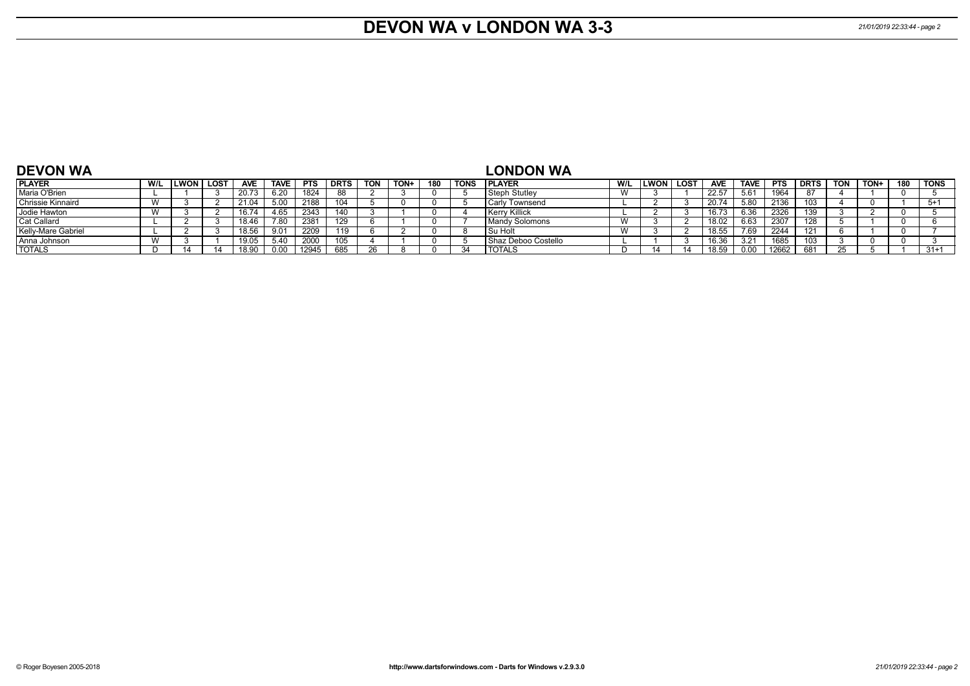# **DEVON WA v LONDON WA 3-3** *21/01/2019 22:33:44 - page 2*

| <b>DEVON WA</b>    |           |                   |             |            |             |            |             |            |      |     |             | <b>LONDON WA</b>      |                |  |            |             |            |             |            |      |     |             |
|--------------------|-----------|-------------------|-------------|------------|-------------|------------|-------------|------------|------|-----|-------------|-----------------------|----------------|--|------------|-------------|------------|-------------|------------|------|-----|-------------|
| <b>PLAYER</b>      | W/L       | LWON <sub>I</sub> | <b>LOST</b> | <b>AVE</b> | <b>TAVE</b> | <b>PTS</b> | <b>DRTS</b> | <b>TON</b> | TON+ | 180 | <b>TONS</b> | <b>IPLAYER</b>        | W/L            |  | <b>AVE</b> | <b>TAVE</b> | <b>PTS</b> | <b>DRTS</b> | <b>TON</b> | TON+ | 180 | <b>TONS</b> |
| Maria O'Brien      |           |                   |             | 20.73      | 6.20        | 1824       | 88          |            |      |     |             | Steph Stutley         | $\overline{M}$ |  | 22.57      | 5.61        | 1964       |             |            |      |     |             |
| Chrissie Kinnaird  | <b>18</b> |                   |             | 21.04      | 5.00        | 2188       | 104         |            |      |     |             | <b>Carly Townsend</b> |                |  | 20.74      | 5.80        | 2136       | 103         |            |      |     | $5+$        |
| Jodie Hawton       |           |                   |             | 16.74      | 65          | 2343       | 140         |            |      |     |             | Kerry Killick         |                |  | 16.73      | 6.36        | 2326       | 139         |            |      |     |             |
| Cat Callard        |           |                   |             | 18.46      | .80         | 238'       |             |            |      |     |             | <b>Mandy Solomons</b> | W              |  | 18.02      | 6.63        | 2307       | 128         |            |      |     |             |
| Kelly-Mare Gabriel |           |                   |             | 18.56      |             | 2209       |             |            |      |     |             | l Su Holt             | W              |  | 18.55      | 7.69        | 2244       | 121         |            |      |     |             |
| Anna Johnson       |           |                   |             | 19.05      | 5.40        | 200        | 105         |            |      |     |             | l Shaz Deboo Costello |                |  | 16.36      | 3.21        | 1685       | 103         |            |      |     |             |
| <b>TOTALS</b>      |           |                   |             | 18.90      |             | 12945      | 685         |            |      |     |             | <b>TOTALS</b>         |                |  | 18.59      | 0.00        | 12662      |             |            |      |     | $31 +$      |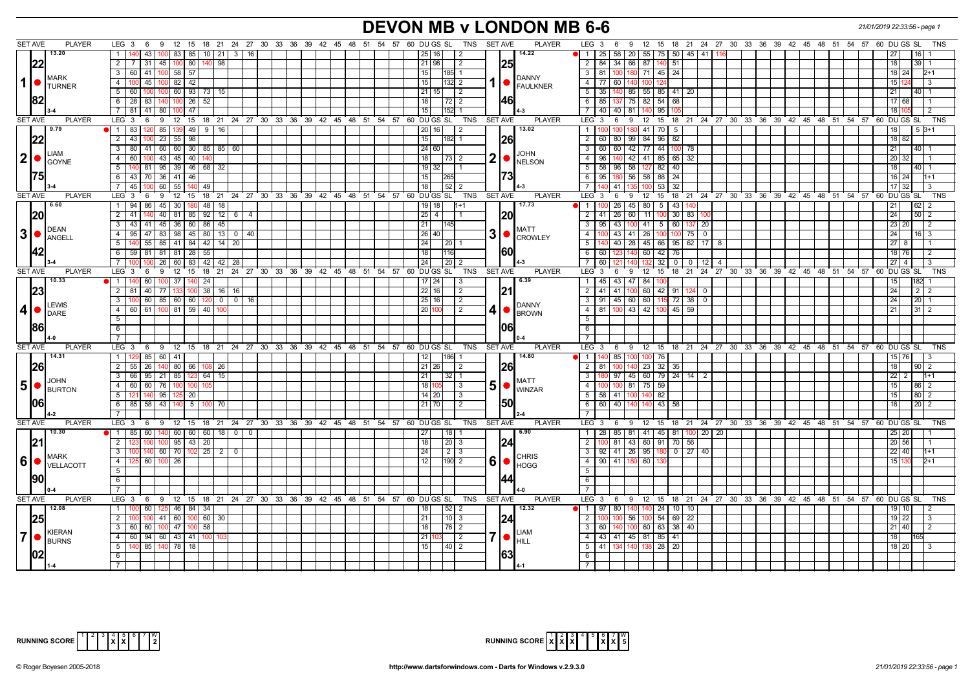# **DEVON MB v LONDON MB 6-6** *21/01/2019 22:33:56 - page 1*

|                | <b>SET AVE</b>                               | <b>PLAYER</b> | $LEG_3 6$                                                                                |     |    |                 |  |  |  | 9 12 15 18 21 24 27 30 33 36 39 42 45 48 51 54 57 60 DUGS SL TNS |                      | SET AVE        | <b>PLAYER</b>                                                                                                                                                                                                                                                                                                                                                                                                          | $LEG_3 6$<br>9 12 15 18 21 24 27 30 33 36 39 42 45 48 51 54 57 60 DUGS SL                                           | TNS            |
|----------------|----------------------------------------------|---------------|------------------------------------------------------------------------------------------|-----|----|-----------------|--|--|--|------------------------------------------------------------------|----------------------|----------------|------------------------------------------------------------------------------------------------------------------------------------------------------------------------------------------------------------------------------------------------------------------------------------------------------------------------------------------------------------------------------------------------------------------------|---------------------------------------------------------------------------------------------------------------------|----------------|
|                | 13.20                                        |               | 43<br>100 83 85 10 21 3<br>1 I                                                           |     |    | - 16            |  |  |  | 25 16                                                            | l 2                  |                | 14.22                                                                                                                                                                                                                                                                                                                                                                                                                  | 25   58   20  <br>55   75   50   45   41   116<br>l 1<br>27<br>16                                                   |                |
|                | 22                                           |               | 2   7   31   45   100   80   140   98                                                    |     |    |                 |  |  |  | $21$   98                                                        | $\sqrt{2}$           |                | 25                                                                                                                                                                                                                                                                                                                                                                                                                     | 2   84   34   66   87   140   51<br>18<br>$39^{\circ}$                                                              |                |
|                |                                              |               | 3 60 41 100 58 57                                                                        |     |    |                 |  |  |  | 15                                                               | 185 1                |                |                                                                                                                                                                                                                                                                                                                                                                                                                        | 3   81   100   180   71   45  <br>24<br>18 24                                                                       | $2+1$          |
| $\mathbf{1}$   | <b>MARK</b><br>ITURNER                       |               | 4 100 45 100 82 42                                                                       |     |    |                 |  |  |  | 15                                                               | $132$ 2              |                | DANNY<br>1   FAULKNER                                                                                                                                                                                                                                                                                                                                                                                                  | 4 77 60<br>15 1<br>140 100 124                                                                                      | l 3            |
|                |                                              |               | 5 60 100 100 60 93 73 15                                                                 |     |    |                 |  |  |  | $21 \mid 15 \mid$                                                | $\vert$ 2            |                |                                                                                                                                                                                                                                                                                                                                                                                                                        | $-5$<br>35   140   85   55   85   41   20<br>21<br>40 1                                                             |                |
|                | 182                                          |               | 6 28 83<br>$140$ 100 26 52                                                               |     |    |                 |  |  |  | 18                                                               | 72   2               |                | 1461                                                                                                                                                                                                                                                                                                                                                                                                                   | $\overline{6}$<br>85   137   75   82   54<br>68<br>17 68                                                            |                |
|                |                                              |               | 7 81 41 80 100 47                                                                        |     |    |                 |  |  |  | 15                                                               | $152$ 1              |                |                                                                                                                                                                                                                                                                                                                                                                                                                        | $\overline{7}$<br>40 40 81<br>140 95<br>181                                                                         | l 2            |
|                | <b>SET AVE</b>                               | <b>PLAYER</b> | $LEG_3$ 6                                                                                |     |    |                 |  |  |  | 9 12 15 18 21 24 27 30 33 36 39 42 45 48 51 54 57 60 DUGS SL     | TNS                  | <b>SET AVE</b> | <b>PLAYER</b>                                                                                                                                                                                                                                                                                                                                                                                                          | LEG 3<br>9 12 15 18 21 24 27 30 33 36 39 42 45 48 51 54 57 60 DUGS SL<br>6                                          | TNS            |
|                | 9.79                                         |               | $\bullet$ 1 83<br>85 139 49 9 16<br>120                                                  |     |    |                 |  |  |  | 20 16                                                            |                      |                | 13.02                                                                                                                                                                                                                                                                                                                                                                                                                  | $41$ 70<br>$\overline{1}$<br>5<br>18<br>$5B+1$<br>180                                                               |                |
|                | 22                                           |               | $2 \mid 43 \mid$<br>$23 \mid 55 \mid 98$<br>100                                          |     |    |                 |  |  |  | 15                                                               | 182 1                |                | <b>26</b>                                                                                                                                                                                                                                                                                                                                                                                                              | $\overline{2}$<br>99 84 96<br>82<br>18 82<br>60 80                                                                  |                |
|                | LIAM                                         |               | $3   80   41   60   60   30   85   85   60$                                              |     |    |                 |  |  |  | 24 60                                                            |                      |                | <b>JOHN</b>                                                                                                                                                                                                                                                                                                                                                                                                            | 60 60 42 77 44 100 78<br>3<br>21<br>$40 \mid 1$                                                                     |                |
|                | $ 2  \bullet  _{\text{GOYNE}}^{\text{LIAM}}$ |               | 60<br>$100 \mid 43 \mid 45 \mid 40$<br>4 I                                               |     |    |                 |  |  |  | 18                                                               | 73   2               | 2              | NELSON                                                                                                                                                                                                                                                                                                                                                                                                                 | $\sqrt{4}$<br>96<br>140 42 41 85<br>65<br>-32<br>20 32                                                              |                |
|                |                                              |               | $5 \mid 140 \mid 81 \mid 95 \mid 39 \mid 46 \mid 68 \mid 32$                             |     |    |                 |  |  |  | 19 32                                                            |                      |                |                                                                                                                                                                                                                                                                                                                                                                                                                        | 58   96   58   127 82  <br>5<br>40<br>18<br>$ 40 $ 1                                                                |                |
|                | 75                                           |               | 6 43 70 36 41 46                                                                         |     |    |                 |  |  |  | 15<br>265                                                        |                      |                | 1731                                                                                                                                                                                                                                                                                                                                                                                                                   | 95   180   56   58   88<br>6<br>24<br>16 24                                                                         | $1 + 1$        |
|                |                                              |               | 7 45 100 60 55 140                                                                       | -49 |    |                 |  |  |  | 18                                                               | 52   2               |                |                                                                                                                                                                                                                                                                                                                                                                                                                        | 140 41<br>32<br>17 32<br>-53                                                                                        |                |
|                | <b>SET AVE</b>                               | <b>PLAYER</b> | $LEG_3$ 6<br>$9 \t12$                                                                    |     |    |                 |  |  |  | 15 18 21 24 27 30 33 36 39 42 45 48 51 54 57 60 DUGS SL          | TNS                  | SET AVE        | <b>PLAYER</b><br>17.73                                                                                                                                                                                                                                                                                                                                                                                                 | $LEG \ 3$<br>6<br>$12 \quad 15$<br>18 21 24 27 30 33 36 39 42 45 48 51 54 57 60 DUGS SL<br>9                        | <b>TNS</b>     |
|                | 6.60                                         |               | 1   94   86   45   30   180   48   18<br>$2 \mid 41$                                     |     |    |                 |  |  |  | 19   18                                                          |                      |                |                                                                                                                                                                                                                                                                                                                                                                                                                        | $\overline{1}$<br>100 26 45 80 5 43 14<br>$62$ 2<br>21 <sup>1</sup><br>60<br>30   83<br>24<br>111100                |                |
|                | 20                                           |               | 40   81   85   92   12   6<br>3 43 41 45 36 60 86 45                                     |     |    | $\vert 4 \vert$ |  |  |  | $25 \mid 4$<br>$\overline{21}$                                   |                      |                | 120                                                                                                                                                                                                                                                                                                                                                                                                                    | $\overline{2}$<br>$41 \overline{26}$<br>$\overline{50}$   2<br>100 41 5 60 137 20<br>$\overline{3}$<br>$95 \mid 43$ | $\overline{2}$ |
| 3              | DEAN                                         |               | 4   95   47   83   98   45   80   13   0   40                                            |     |    |                 |  |  |  | 145I<br> 26 40                                                   |                      | 3              | <b>MATT</b>                                                                                                                                                                                                                                                                                                                                                                                                            | 23 20<br>100 43 41 26 100<br>$\overline{4}$<br>$100$ 75 $\mid$ 0<br>24<br>$16 \mid 3$                               |                |
|                | <b>ANGELL</b>                                |               | 55   85   41   84   42   14   20<br>$5 - 140$                                            |     |    |                 |  |  |  | 24                                                               | $\vert 20 \vert 1$   |                | $\bigcirc$ $\bigcirc$ $\bigcirc$ $\bigcirc$ $\bigcirc$ $\bigcirc$ $\bigcirc$ $\bigcirc$ $\bigcirc$ $\bigcirc$ $\bigcirc$ $\bigcirc$ $\bigcirc$ $\bigcirc$ $\bigcirc$ $\bigcirc$ $\bigcirc$ $\bigcirc$ $\bigcirc$ $\bigcirc$ $\bigcirc$ $\bigcirc$ $\bigcirc$ $\bigcirc$ $\bigcirc$ $\bigcirc$ $\bigcirc$ $\bigcirc$ $\bigcirc$ $\bigcirc$ $\bigcirc$ $\bigcirc$ $\bigcirc$ $\bigcirc$ $\bigcirc$ $\bigcirc$ $\bigcirc$ | $-5$<br>140 40 28 45 66 95 62 17<br>$27$ 8<br>8                                                                     |                |
|                |                                              |               | 6 59 81 81 81 28 55                                                                      |     |    |                 |  |  |  | 18<br>l116l                                                      |                      |                | 160                                                                                                                                                                                                                                                                                                                                                                                                                    | 6<br>140<br>60 42<br>76<br>18 76<br>60   123                                                                        | l 2            |
|                |                                              |               | 7 100<br>100<br>26 60 83 42 42 28                                                        |     |    |                 |  |  |  | 24                                                               | $\vert$ 20 $\vert$ 2 |                |                                                                                                                                                                                                                                                                                                                                                                                                                        | $27 \mid 4 \mid$<br>$\overline{7}$<br>60   121  <br>132 32<br>0 0 1 1 2 1<br>140<br>$\overline{4}$                  | l 3            |
|                | <b>SET AVE</b>                               | <b>PLAYER</b> | LEG <sub>3</sub><br>9<br>12<br>6                                                         | 15  |    |                 |  |  |  | 18 21 24 27 30 33 36 39 42 45 48 51 54 57 60 DUGS SL             | <b>TNS</b>           | SET AVE        | <b>PLAYER</b>                                                                                                                                                                                                                                                                                                                                                                                                          | 12 15 18 21 24 27 30 33 36 39 42 45 48 51 54 57 60 DUGS SL<br>LEG 3<br>6<br>9                                       | <b>TNS</b>     |
|                | 10.33                                        |               | 60   100   37   140   24  <br>1 1 140                                                    |     |    |                 |  |  |  | 17 24                                                            | $\vert$ 3            |                | 6.39                                                                                                                                                                                                                                                                                                                                                                                                                   | 45 43 47 84 100<br>- 1 - I<br>15 <sup>1</sup><br>182                                                                |                |
|                | 23                                           |               | 2   81   40   77   133   100   38   16   16                                              |     |    |                 |  |  |  | 22 16                                                            | l 2                  |                | 21                                                                                                                                                                                                                                                                                                                                                                                                                     | $2 \mid 2$<br>$\vert 2 \vert$<br>41   41  <br>$100 \ 60 \ 42 \ 91 \ 124 \ 0$<br>24                                  |                |
|                |                                              |               | 3 100 60 85 60 60 120 0 0 16                                                             |     |    |                 |  |  |  | 25 16                                                            | l 2                  |                |                                                                                                                                                                                                                                                                                                                                                                                                                        | $\sqrt{3}$<br>$91 \mid 45 \mid 60 \mid 60 \mid 115 \mid 72 \mid 38 \mid 0$<br>24<br>$ 20 $ 1                        |                |
| $\vert$ 4      | LEWIS<br><b>IDARE</b>                        |               | 4 60 61 100 81 59 40 100                                                                 |     |    |                 |  |  |  | 20 <sub>1</sub>                                                  | $\overline{2}$       |                | DANNY<br>$40$ BROWN                                                                                                                                                                                                                                                                                                                                                                                                    | 4   81   100   43   42   100<br>$45 \mid 59$<br>21 <sup>1</sup><br>$31 \mid 2$                                      |                |
|                |                                              |               | 5                                                                                        |     |    |                 |  |  |  |                                                                  |                      |                |                                                                                                                                                                                                                                                                                                                                                                                                                        | $-5$                                                                                                                |                |
|                | <b>86</b>                                    |               | 6                                                                                        |     |    |                 |  |  |  |                                                                  |                      |                | 1061                                                                                                                                                                                                                                                                                                                                                                                                                   | 6                                                                                                                   |                |
|                |                                              |               |                                                                                          |     |    |                 |  |  |  |                                                                  |                      |                |                                                                                                                                                                                                                                                                                                                                                                                                                        |                                                                                                                     |                |
|                | <b>SET AVE</b>                               | <b>PLAYER</b> | LEG 3  6  9  12  15  18  21  24  27  30  33  36  39  42  45  48  51  54  57  60  DUGS SL |     |    |                 |  |  |  |                                                                  | TNS                  | <b>SET AVE</b> | <b>PLAYER</b>                                                                                                                                                                                                                                                                                                                                                                                                          | LEG 3 6 9 12 15 18 21 24 27 30 33 36 39 42 45 48 51 54 57 60 DUGS SL                                                | <b>TNS</b>     |
|                | 14.31                                        |               | 85 60 41<br>1 129                                                                        |     |    |                 |  |  |  | 12<br>186                                                        |                      |                | 14.80                                                                                                                                                                                                                                                                                                                                                                                                                  | 140 85 100 100 76<br>11<br>15   76                                                                                  |                |
|                | 26                                           |               | 2 55 26<br>140 80 66 108 26                                                              |     |    |                 |  |  |  | $21 \,   \, 26$                                                  | $\overline{2}$       |                | <b>126</b>                                                                                                                                                                                                                                                                                                                                                                                                             | $\overline{2}$<br>23 32<br>35<br>81<br>100<br>140<br>18 <sup>1</sup><br>$90$   2                                    |                |
|                | <b>JOHN</b>                                  |               | 3 66 95 21 85 123 64 15                                                                  |     |    |                 |  |  |  | 21                                                               | 32 1                 |                | MATT                                                                                                                                                                                                                                                                                                                                                                                                                   | 180 97 45 60 79 24 14 2<br>$22 \mid 2$<br>$\overline{\mathbf{3}}$                                                   | $H+1$          |
|                | $\mathbf{5}$ $\bullet$ $\mathbf{L}$ BURTON   |               | 4 60 60 76 100                                                                           | 100 |    |                 |  |  |  | 18                                                               | -3                   | 5              | $\bigcirc$ WINZAR                                                                                                                                                                                                                                                                                                                                                                                                      | $\overline{4}$<br>100 100 81 75 59<br>15 <sup>1</sup><br>86 2                                                       |                |
|                |                                              |               | 5 <sub>1</sub><br>$140$ 95 $125$ 20                                                      |     |    |                 |  |  |  | 14 20                                                            | -3                   |                | 150                                                                                                                                                                                                                                                                                                                                                                                                                    | 5<br>58 41 100 140 82<br>15 <sub>l</sub><br>80 2                                                                    |                |
|                | 1061                                         |               | 6 85 58 43 140 5 100<br>7 <sup>1</sup>                                                   |     | 70 |                 |  |  |  | $21$ 70                                                          | $\overline{2}$       |                |                                                                                                                                                                                                                                                                                                                                                                                                                        | 6<br>60 40<br>140 140 43<br>58<br>$20 \mid 2$<br>18 <sup>1</sup>                                                    |                |
|                | <b>SET AVE</b>                               | <b>PLAYER</b> | LEG 3  6  9  12  15  18  21  24  27  30  33  36  39  42  45  48  51  54  57  60  DUGS SL |     |    |                 |  |  |  |                                                                  | <b>TNS</b>           | <b>SET AVE</b> | <b>PLAYER</b>                                                                                                                                                                                                                                                                                                                                                                                                          | LEG 3 6 9 12 15 18 21 24 27 30 33 36 39 42 45 48 51 54 57 60 DUGS SL                                                | <b>TNS</b>     |
|                | 10.30                                        |               | $\bullet$ 1 85 60 140 60 60 60 18 0                                                      |     |    | $\overline{0}$  |  |  |  | 27                                                               | $18$ 1               |                | 6.90                                                                                                                                                                                                                                                                                                                                                                                                                   | 28 85 81<br>41 45 81 100 20 20<br>$\overline{1}$<br>25 20                                                           |                |
|                |                                              |               | $100$ 95 43 20<br>$2 \mid 123$<br>100                                                    |     |    |                 |  |  |  | 18                                                               | $\sqrt{20}$ 3        |                |                                                                                                                                                                                                                                                                                                                                                                                                                        | 100 81 43 60 91 70 56<br>$\overline{2}$<br>20 56                                                                    |                |
|                |                                              |               | $3 \mid 100 \mid 140 \mid 60 \mid 70 \mid 102 \mid 25 \mid 2 \mid 0$                     |     |    |                 |  |  |  | $\overline{24}$                                                  | $2 \mid 3$           |                |                                                                                                                                                                                                                                                                                                                                                                                                                        | $92$ 41 26 95 180 0 27 40<br>$\overline{\phantom{a}}$<br>22 40                                                      | 1+1            |
|                | <b>IMARK</b>                                 |               | 60 100 26<br>4                                                                           |     |    |                 |  |  |  | 12                                                               | 190 2                | 6              | <b>CHRIS</b><br>$\bullet$                                                                                                                                                                                                                                                                                                                                                                                              | $90$   41   180<br>$-4$<br>60 l<br>15 1                                                                             | $2+1$          |
|                |                                              |               | $5\overline{)}$                                                                          |     |    |                 |  |  |  |                                                                  |                      |                | <b>HOGG</b>                                                                                                                                                                                                                                                                                                                                                                                                            | $-5$                                                                                                                |                |
|                | <b>190</b>                                   |               | 6                                                                                        |     |    |                 |  |  |  |                                                                  |                      |                |                                                                                                                                                                                                                                                                                                                                                                                                                        | 6                                                                                                                   |                |
|                |                                              |               | $\overline{7}$                                                                           |     |    |                 |  |  |  |                                                                  |                      |                |                                                                                                                                                                                                                                                                                                                                                                                                                        | $\overline{7}$                                                                                                      |                |
|                | SET AVE                                      | <b>PLAYER</b> | LEG 3<br>6                                                                               |     |    |                 |  |  |  | 9 12 15 18 21 24 27 30 33 36 39 42 45 48 51 54 57 60 DUGS SL     | TNS                  | SET AVE        | <b>PLAYER</b>                                                                                                                                                                                                                                                                                                                                                                                                          | $LEG_3$ 6<br>9 12 15 18 21 24 27 30 33 36 39 42 45 48 51 54 57 60 DUGS SL                                           | TNS            |
|                | 12.08                                        |               | 1   100   60   125   46   84   34                                                        |     |    |                 |  |  |  | 18                                                               | 52 2                 |                | 12.32                                                                                                                                                                                                                                                                                                                                                                                                                  | 1   97   80   140   140   24   10   10<br>19 10                                                                     | l 2            |
|                |                                              |               | 41 60 100 60 30<br>2 100                                                                 |     |    |                 |  |  |  | $\sqrt{21}$                                                      | $10\overline{3}$     |                | 1241                                                                                                                                                                                                                                                                                                                                                                                                                   | 100 56 100 54 69 22<br>2<br>$19 \mid 22$                                                                            | l 3            |
|                | KIERAN                                       |               | 3   60   60   100   47   100   58                                                        |     |    |                 |  |  |  | $\overline{18}$                                                  | 76   2               |                | <b>LIAM</b>                                                                                                                                                                                                                                                                                                                                                                                                            | $\overline{\phantom{a}3}$<br>60   140   100   60   63   38   40<br>21 40                                            | $\sqrt{2}$     |
| $\overline{7}$ | <b>BURNS</b>                                 |               | $4$ 60 94 60 43 41 100                                                                   |     |    |                 |  |  |  | 21                                                               | $\overline{2}$       | 7              | $\bullet$<br><b>HILL</b>                                                                                                                                                                                                                                                                                                                                                                                               | 4 43 41 45 81 85 41<br>18                                                                                           |                |
|                |                                              |               | 140 85 140 78 18<br>5 I                                                                  |     |    |                 |  |  |  | 15                                                               | $\vert 40 \vert 2$   |                |                                                                                                                                                                                                                                                                                                                                                                                                                        | $-5$<br>41   134   140   138   28<br>20<br>18 20                                                                    | l 3            |
|                |                                              |               | 6                                                                                        |     |    |                 |  |  |  |                                                                  |                      |                | <b>63</b>                                                                                                                                                                                                                                                                                                                                                                                                              | 6                                                                                                                   |                |
|                |                                              |               |                                                                                          |     |    |                 |  |  |  |                                                                  |                      |                |                                                                                                                                                                                                                                                                                                                                                                                                                        |                                                                                                                     |                |

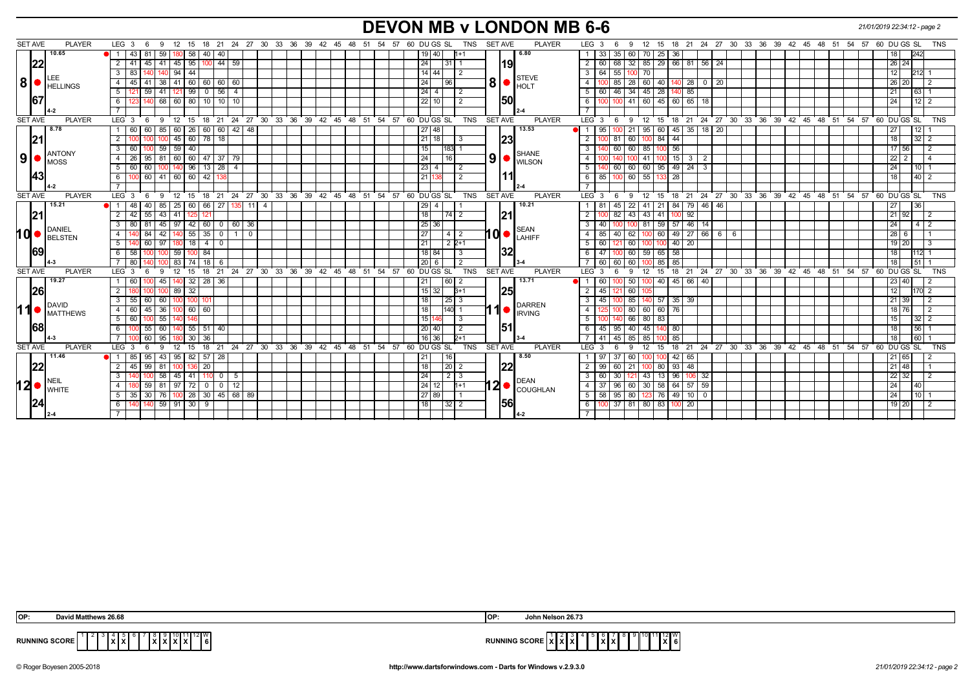# **DEVON MB v LONDON MB 6-6** *21/01/2019 22:34:12 - page 2*

| <b>SET AVE</b> | <b>PLAYER</b>                       | LEG 3<br>- 6                                                                             | 9 12 15 18 21 24 27 30 33 36 39 42 45 48 51 54 57 60 DUGS SL |                |                                                      | TNS                         | <b>PLAYER</b><br>SET AVE                | 9 12 15 18 21 24 27 30 33 36 39 42 45 48 51 54 57 60 DU GS SL<br>LEG 3<br>TNS<br>- 6                                |  |
|----------------|-------------------------------------|------------------------------------------------------------------------------------------|--------------------------------------------------------------|----------------|------------------------------------------------------|-----------------------------|-----------------------------------------|---------------------------------------------------------------------------------------------------------------------|--|
|                | 10.65                               | 43 81<br>59 I<br>180 I                                                                   | 58   40<br>-40                                               |                |                                                      | 19   40<br>1+1              | 6.80                                    | 60 70 25<br>242<br>33   35  <br>36<br>  18  <br>$\overline{1}$                                                      |  |
| 22             |                                     | $2 \mid 41$                                                                              | 45 41 45 95 100 44 59                                        |                |                                                      | 24 <sup>1</sup><br>l 31 l 1 | 19l                                     | 32   85   29   66   81   56   24<br>2<br>$60$ 68<br> 26 24                                                          |  |
|                |                                     | 83<br>40 94 44                                                                           |                                                              |                |                                                      | $14$ 44<br><u>2</u>         |                                         | $64 \mid 55$<br>$\mathbf{3}$<br>100 70<br>l 12 l<br>212 1                                                           |  |
| <b>8</b>       | LEE<br><b>IHELLINGS</b>             | 45<br>-41                                                                                | 38 41 60 60 60 60                                            |                |                                                      | 24<br>96                    | <b>STEVE</b><br>8<br>$\blacksquare$     | $\overline{4}$<br>28 60 40<br>140 28 0 20<br>100 85<br>l 26 I 20                                                    |  |
|                |                                     | 5 <sub>1</sub><br>59<br>l 41 l<br>121<br>121                                             | $99$ 0 56<br>$\overline{4}$                                  |                |                                                      | $24$ 4<br>2                 |                                         | $34$ 45 28<br>5<br>60   46<br>85<br>63<br>121                                                                       |  |
| 167            |                                     | 6<br>123                                                                                 | 140 68 60 80 10 10 10                                        |                |                                                      | 22 10<br>$\overline{2}$     | <b>150</b>                              | 100 100 41 60 45 60 65 18<br>$12$ 2<br>6<br>24                                                                      |  |
|                |                                     |                                                                                          |                                                              |                |                                                      |                             |                                         |                                                                                                                     |  |
| <b>SET AVE</b> | <b>PLAYER</b>                       | LEG 3  6  9  12  15  18  21  24  27  30  33  36  39  42  45  48  51  54  57  60  DUGS SL |                                                              |                |                                                      | TNS                         | <b>SET AVE</b><br><b>PLAYER</b>         | 9 12 15 18 21 24 27 30 33 36 39 42 45 48 51 54 57 60 DUGS SL<br>$LEG \ 3 \ 6$<br><b>TNS</b>                         |  |
|                | 8.78                                | 1 60<br>60 85 60                                                                         | 26 60 60 42 48                                               |                |                                                      | $27$ 48                     | 13.53                                   | 45 35 18 20<br>21<br>$95 \ 60$<br><b>1</b> 1<br>$95 \vert$<br>127                                                   |  |
| 21             |                                     | $\overline{2}$<br>45                                                                     | $60$ 78 18                                                   |                |                                                      | 21 18<br>3                  | <b>123</b>                              | $\overline{2}$<br>60<br>44<br>$32 \mid 2$<br>100 84<br>l 18<br>-81                                                  |  |
|                |                                     | 59<br>60<br>59                                                                           | 40                                                           |                |                                                      | 15<br>183                   | <b>SHANE</b>                            | 60<br>56<br>$\overline{3}$<br>85<br>60<br>17 56                                                                     |  |
| l 9 l          | ANTONY                              | $4 \mid 26 \mid$<br>$95$   81   60                                                       | 60   47   37<br>  79                                         |                |                                                      | 24<br>16                    | 9<br>WILSON                             | 15<br>$\overline{4}$<br>100<br>41<br>- 3 I<br>l 22 l                                                                |  |
|                |                                     | 5   60   60   100  <br>140                                                               | $96$   13   28  <br>$\overline{4}$                           |                |                                                      | $23 \mid 4$<br>2            |                                         | 60 60 95 49 24 3<br>5<br>24<br>10<br>140 60                                                                         |  |
| 43             |                                     | 60 41 60 60 42<br>6<br>۱M                                                                | 138                                                          |                |                                                      | 21   138<br>-2              |                                         | 85 100 60 55 1<br>28<br>$40$   2<br>6<br>l 18                                                                       |  |
|                | $4 - 2$                             |                                                                                          |                                                              |                |                                                      |                             |                                         | $\overline{7}$                                                                                                      |  |
| <b>SET AVE</b> | <b>PLAYER</b>                       | LEG 3 6 9 12 15 18 21 24 27 30 33 36 39 42 45 48 51 54 57 60 DUGS SL TNS SETAVE          |                                                              |                |                                                      |                             | <b>PLAYER</b>                           | <sup>1</sup> 9 12 15 18 21 24 27 30 33 36 39 42 45 48 51 54 57<br>60 DU GS SL<br><b>TNS</b><br>LEG $3 \quad 6$      |  |
|                | 15.21                               | 48<br>25                                                                                 | 60   66  <br>-27                                             | 11 I<br>-4     |                                                      | 29                          | 10.21                                   | 22<br>84   79  <br>$\overline{1}$<br>41<br>l 21<br>  46   46<br>  27<br>36                                          |  |
| 21             |                                     | $2 \mid 42 \mid$<br>$55$   43   41                                                       | 1251 12                                                      |                |                                                      | 18<br>74 I 2                | <u> 121   </u>                          | 43<br>43 41<br>2<br>$100$ 82<br>92<br>21   92 <br>100 I<br>l 2                                                      |  |
|                | DANIEL                              | $3$ 80 81<br>$45 \mid 97$                                                                | 42 60 0 60 36                                                |                |                                                      | $25 \mid 36$                | <b>SEAN</b>                             | 81 59 57 46 14<br>$\overline{\cdot \cdot \cdot}$<br>40<br>24<br>100 <sub>1</sub><br>412                             |  |
| hd             | <b>BELSTEN</b>                      | $\overline{4}$<br>84<br>42 I<br>140                                                      | $55 \ 35 \ 0$                                                | $\overline{0}$ |                                                      | 27<br>$4 \mid 2$            | 10I●<br>LAHIFF                          | 62<br>$49$   27   66   6  <br>$\overline{4}$<br>85<br>100 60<br>286<br>l 40<br>6                                    |  |
|                |                                     | $5-1$<br>60 97 180                                                                       | $18$ 4 0                                                     |                |                                                      | 21<br>$2^{2+1}$             |                                         | 60 100 100<br>$40 \mid 20 \mid$<br>5<br>60 I<br>19 20<br>  3                                                        |  |
| 69             |                                     | $6 \mid 58$<br>$100$ 59                                                                  | 100 84                                                       |                |                                                      | $18$   84<br>  3            | 132                                     | 47<br>60 59 65 58<br>- 6<br>l 18 l<br>112 1                                                                         |  |
|                |                                     | 80<br>83                                                                                 | 74<br>18 I<br>6                                              |                |                                                      | $20$ 6<br>$\overline{2}$    |                                         | 85<br>51<br>60<br>60<br>85<br>l 18<br>60                                                                            |  |
| <b>SET AVE</b> | <b>PLAYER</b>                       | LEG <sub>3</sub><br>12<br>9                                                              | 15                                                           |                | 18 21 24 27 30 33 36 39 42 45 48 51 54 57 60 DUGS SL | <b>TNS</b>                  | <b>SET AVE</b><br><b>PLAYER</b>         | 18 21 24 27 30 33 36 39 42 45 48 51 54 57 60 DUGS SL<br>LEG <sub>3</sub><br>12<br>TNS<br>9<br>15<br>-6              |  |
|                | 19.27                               | 1 60<br>45 l<br>140                                                                      | $32 \mid 28 \mid 36$                                         |                |                                                      | 60 2<br>211                 | 13.71                                   | 50<br>45 66 40<br>60   100<br>$100$ 40<br>  23   40<br>l 1<br>-2                                                    |  |
| <b>26</b>      |                                     | $\mathbf{2}$<br>100 89                                                                   | 32                                                           |                |                                                      | 15 32 <br>$3+1$             | 125                                     | 60<br>2<br>45<br>l 12<br>170 2                                                                                      |  |
|                | DAVID                               | $3 \mid 55 \mid$<br>60   60  <br>100                                                     |                                                              |                |                                                      | 18 <sup>1</sup><br> 25 3    | <b>DARREN</b>                           | 85 140 57 35 39<br>$\mathbf{3}$<br>45   1<br>21 39<br>$\overline{2}$                                                |  |
|                | <b>IMATTHEWS</b>                    | $4 \overline{60}$<br>45 36 100 60 60                                                     |                                                              |                |                                                      | 18<br>$140$ 1               | <b>IRVING</b>                           | 80<br>$\overline{4}$<br>60 60<br>76<br>18 76                                                                        |  |
| 68             |                                     | $5 \overline{60}$<br>55                                                                  |                                                              |                |                                                      | 15 14<br>-3                 |                                         | $-5$<br>66 80 83<br>$32 \mid 2$<br>l 15 l                                                                           |  |
|                |                                     | $55 \ 60$<br>6<br>140                                                                    | $55$ 51 40                                                   |                |                                                      | 20 40<br>$\overline{2}$     | 1511                                    | 40<br>56<br>6<br>$45 \mid 95$<br>$45 \overline{\smash{\big)}\phantom{0}}$<br>80<br>l 18                             |  |
|                |                                     | 60<br>95                                                                                 | $30 \mid 36$                                                 |                |                                                      | $16$ 36<br>$2 + 1$          |                                         | 85<br>60 1<br>85<br>$\overline{41}$   45  <br>85<br>l 18                                                            |  |
| <b>SET AVE</b> | <b>PLAYER</b><br>11.46              | LEG <sub>3</sub><br>12<br>- 6<br>-9                                                      | 15                                                           |                | 18 21 24 27 30 33 36 39 42 45 48 51 54 57 60 DUGS SL | <b>TNS</b>                  | <b>SET AVE</b><br><b>PLAYER</b><br>8.50 | 18 21 24 27 30 33 36 39 42 45 48 51 54 57 60 DUGS SL<br>LEG <sub>3</sub><br>$12 \quad 15$<br><b>TNS</b><br>- 6<br>9 |  |
|                |                                     | $1 \overline{85}$<br>95                                                                  | $143$   95   82   57   28                                    |                |                                                      | 16<br>21                    |                                         | 60<br>42   65<br> 21 65<br>97<br>-37<br>10011                                                                       |  |
| 22             |                                     | $2 \mid 45 \mid$<br>99 81 100                                                            | 136 20                                                       |                |                                                      | 18<br>$\vert 20 \vert 2$    | 1221                                    | $93 \mid 48$<br>99 60<br>21<br>21 48<br>$\overline{2}$<br>100 80                                                    |  |
|                |                                     | -58<br>45 I                                                                              | 41   110   0<br>- 5                                          |                |                                                      | 24<br>$2 \mid 3$            | DEAN                                    | 96<br>3<br>60<br>43 13<br>l 32<br>22 32<br>-30<br>121                                                               |  |
|                | $12$ $\bullet$ $\frac{NEIL}{WHITE}$ | 59   81  <br>97<br>4                                                                     | 72   0<br>$^{\circ}$<br>12                                   |                |                                                      | 24 12 <br>$11 + 1$          | 12●<br><b>COUGHLAN</b>                  | 30   58<br>64 57 59<br>37<br>60<br>40<br>4<br>96<br> 24                                                             |  |
| 24             |                                     | 5 35 30 76 100 28 30 45 68 89                                                            |                                                              |                |                                                      | 27 89                       |                                         | 58   95   80   123   76   49   10   0<br>5<br>24<br>$10$   1                                                        |  |
|                |                                     | $59$   91   30   9<br>6<br>14                                                            |                                                              |                |                                                      | 18<br>$32$   2              | 1561                                    | 100 37 81 80 83<br>6<br>100   20  <br>19 20<br>$\vert$ 2                                                            |  |
|                |                                     |                                                                                          |                                                              |                |                                                      |                             |                                         |                                                                                                                     |  |

| <b>IOP</b>           | .s 26.68                               | <b>IOP</b>          | hn Nelson 26.73                                    |
|----------------------|----------------------------------------|---------------------|----------------------------------------------------|
| <b>RUNNING SCORE</b> | 12 IW<br>.<br>コスコム<br>D<br>----------- | <b>RUNNING SCOF</b> | . <b>112 V</b><br>$P^{\text{max}}$<br>8 A B A<br>. |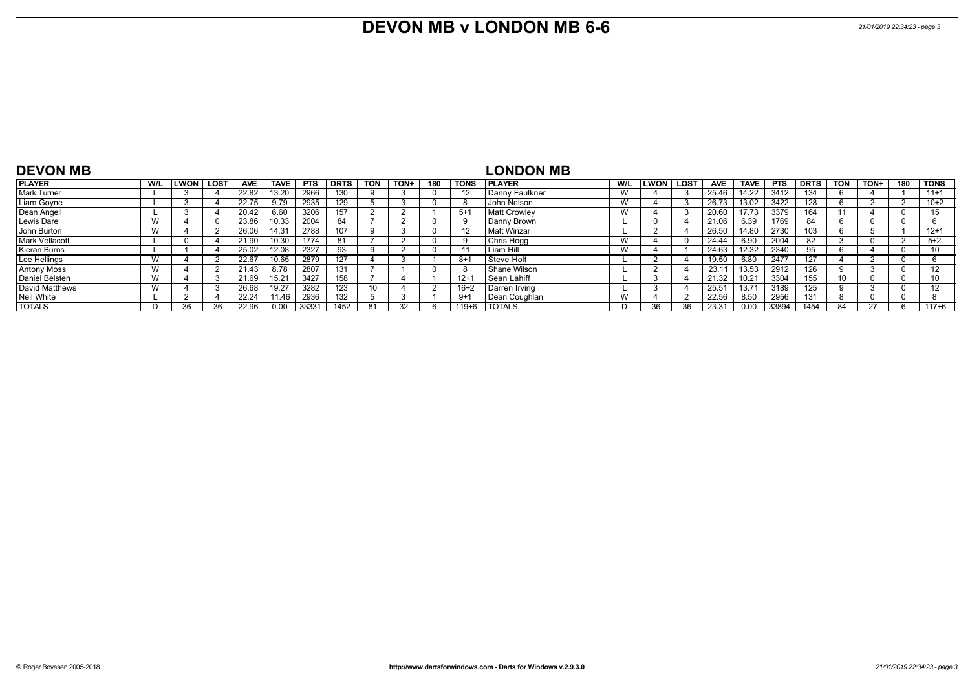# **DEVON MB v LONDON MB 6-6** *21/01/2019 22:34:23 - page 3*

| <b>DEVON MB</b>       |           |               |      |            |             |            |             |            |      |     |             | <b>LONDON MB</b>      |     |              |      |            |             |            |             |            |      |     |             |
|-----------------------|-----------|---------------|------|------------|-------------|------------|-------------|------------|------|-----|-------------|-----------------------|-----|--------------|------|------------|-------------|------------|-------------|------------|------|-----|-------------|
| <b>PLAYER</b>         | W/L       | <b>LWON</b> l | LOST | <b>AVE</b> | <b>TAVE</b> | <b>PTS</b> | <b>DRTS</b> | <b>TON</b> | TON+ | 180 | <b>TONS</b> | <b>I PLAYER</b>       | W/L | <b>ILWON</b> | LOST | <b>AVE</b> | <b>TAVE</b> | <b>PTS</b> | <b>DRTS</b> | <b>TON</b> | TON+ | 180 | <b>TONS</b> |
| <b>Mark Turner</b>    |           |               |      | 22.82      | 13.20       | 2966       | 130         |            |      |     | 12          | <b>Danny Faulkner</b> | W   |              |      | 25.46      | 14.22       | 3412       | 134         |            |      |     | $11+1$      |
| Liam Goyne            |           |               |      | 22.75      | 9.79        | 2935       | 129         |            |      |     |             | John Nelson           | W   |              |      | 26.73      | 13.02       | 3422       | 128         |            |      |     | $10+2$      |
| Dean Angell           |           |               |      | 20.42      | 6.60        | 3206       | 157         |            |      |     | $5 + 1$     | Matt Crowlev          | W   |              |      | 20.60      | 7.73        | 3379       | 164         |            |      |     |             |
| Lewis Dare            | $\lambda$ |               |      | 23.86      | 10.33       | 2004       | 84          |            |      |     |             | Danny Brown           |     |              |      | 21.06      | 6.39        | 1769       | 84          |            |      |     |             |
| John Burton           | W         |               |      | 26.06      | 14.31       | 2788       | 107         |            |      |     | 12          | l Matt Winzar         |     |              |      | 26.50      | 14.80       | 2730       | 103         |            |      |     | $12+1$      |
| <b>Mark Vellacott</b> |           |               |      | 21.90      | 10.30       | 1774       |             |            |      |     |             | Chris Hogg            | W   |              |      | 24.44      | 6.90        | 2004       | 82          |            |      |     | $5+2$       |
| Kieran Burns          |           |               |      | 25.02      | 12.08       | 2327       | 93          |            |      |     |             | _iam Hill             | W   |              |      | 24.63      | 12.32       | 2340       | 95          |            |      |     | 10          |
| Lee Hellings          | W         |               |      | 22.67      | 10.65       | 2879       | 127         |            |      |     | $8 + 7$     | Steve Holt            |     |              |      | 19.50      | 6.80        | 2477       | 127         |            |      |     |             |
| <b>Antony Moss</b>    | W         |               |      | 21.43      | 8.78        | 2807       | 131         |            |      |     |             | Shane Wilson          |     |              |      | 23.1       | 13.53       | 2912       | 126         |            |      |     | 12          |
| Daniel Belsten        |           |               |      | 21.69      | 15.21       | 3427       | 158         |            |      |     | $12+$       | l Sean Lahiff         |     |              |      | 21.32      | 10.21       | 3304       | 155         |            |      |     |             |
| David Matthews        | W         |               |      | 26.68      | 19.27       | 3282       | 123         | 10         |      |     | $16 + 2$    | Darren Irving         |     |              |      | 25.51      | 13.71       | 3189       | 125         |            |      |     | 12          |
| Neil White            |           |               |      | 22.24      | 11.46       | 2936       | 132         |            |      |     | $9 + 7$     | Dean Coughlan         | W   |              |      | 22.56      | 8.50        | 2956       | 131         |            |      |     |             |
| <b>TOTALS</b>         |           | วร            | วค   | 22.96      | 0.00        | 3333'      | 1452        | 81         | つつ   |     | $119 + 6$   | <b>I</b> TOTALS       |     | วค           | วร   | 23.31      | 0.00        | 33894      | 1454        | 84         | 27   |     | $117 + 6$   |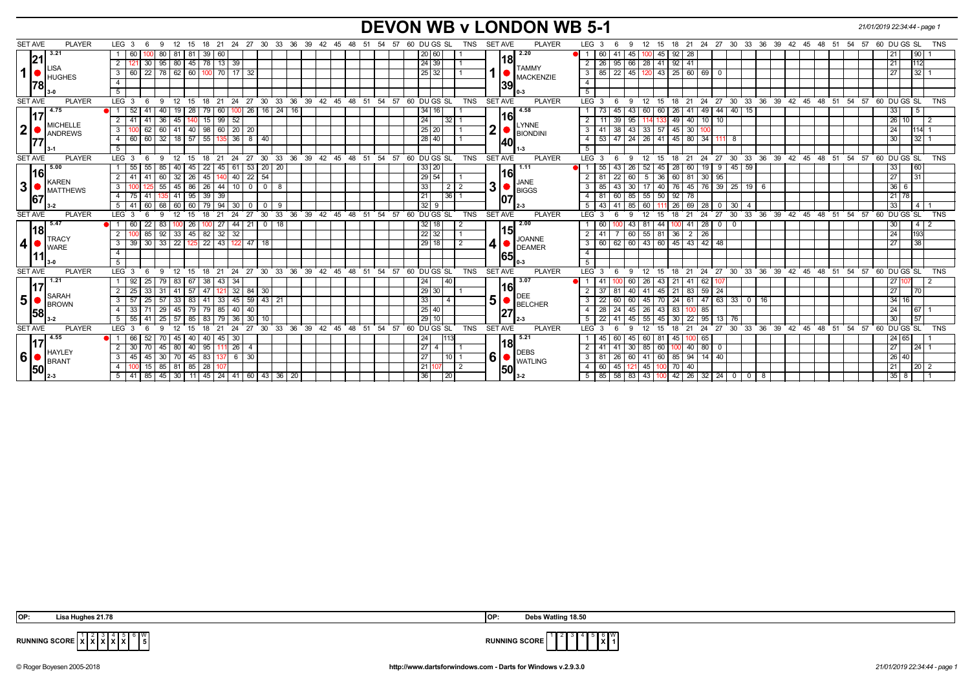#### **DEVON WB v LONDON WB 5-1** *21/01/2019 22:34:44 - page 1*

| <b>SET AVE</b><br><b>PLAYER</b>                    | LEG <sub>3</sub><br>- 9<br>12<br>-6                                    | 15 18 21 24 27 30 33 36 39 42 45 48 51 54 57 |                             |                                 |                     |                         |          | 60 DU GS SL<br>TNS                                                    | <b>SET AVE</b><br>PLAYER         | LEG <sub>3</sub>                         | 9<br>12<br>15            | 18  21  24  27  30  33  36  39  42  45  48  51  54  57  60  DU GS  SL |                       |                                             |          |    |             |       |    |                   |                    | TNS             |
|----------------------------------------------------|------------------------------------------------------------------------|----------------------------------------------|-----------------------------|---------------------------------|---------------------|-------------------------|----------|-----------------------------------------------------------------------|----------------------------------|------------------------------------------|--------------------------|-----------------------------------------------------------------------|-----------------------|---------------------------------------------|----------|----|-------------|-------|----|-------------------|--------------------|-----------------|
| 3.21<br> 21                                        | 80<br>81 81                                                            | 39 60                                        |                             |                                 |                     |                         |          | 20 60                                                                 | 2.20<br>18                       | 60                                       | 45 10                    | $92 \mid 28$<br>45                                                    |                       |                                             |          |    |             |       |    | 21                |                    | 90 I            |
| LISA                                               | $\overline{2}$<br>30                                                   | 95   80   45   78   13   39                  |                             |                                 |                     |                         |          | 24 39                                                                 | <b>TAMMY</b>                     | $\overline{2}$<br>26                     | 95   66   28             | 41 92 41                                                              |                       |                                             |          |    |             |       |    | 21                |                    |                 |
| 1<br>HUGHES                                        | 22   78   62   60   100   70   17  <br>$\mathbf{3}$<br>60 <sub>1</sub> |                                              | 32                          |                                 |                     |                         |          | 25 32                                                                 | <b>MACKENZIE</b>                 | $\overline{3}$<br>85                     | 22 45 120                | 43 25 60 69 0                                                         |                       |                                             |          |    |             |       |    | 27                |                    | 32              |
| 1781                                               | $\overline{4}$                                                         |                                              |                             |                                 |                     |                         |          |                                                                       | 39                               | $\overline{4}$                           |                          |                                                                       |                       |                                             |          |    |             |       |    |                   |                    |                 |
|                                                    | 5                                                                      |                                              |                             |                                 |                     |                         |          |                                                                       |                                  | 5                                        |                          |                                                                       |                       |                                             |          |    |             |       |    |                   |                    |                 |
| <b>SET AVE</b><br><b>PLAYER</b>                    | LEG <sub>3</sub><br>- 9<br>ີ 12<br>6                                   |                                              |                             |                                 |                     |                         |          | 15 18 21 24 27 30 33 36 39 42 45 48 51 54 57 60 DUGS SL<br><b>TNS</b> | <b>SET AVE</b><br><b>PLAYER</b>  | $LEG^3$ 3<br>- 6                         | $^{\circ}$ 12<br>9<br>15 | 18 21 24 27 30 33 36 39 42 45 48 51 54 57 60 DUGS SL TNS              |                       |                                             |          |    |             |       |    |                   |                    |                 |
| 4.75                                               | 52<br>DI 11<br>41<br>40 l<br>19 I                                      | 28<br>79 I<br>60 I                           | 26<br>100                   | $16 \mid 24 \mid$<br>16         |                     |                         |          | 34 <br>16                                                             | 4.58<br>161                      | 45                                       | 60<br>43                 | 60<br>26 I<br>  41                                                    | 49   44               | $140$ 15                                    |          |    |             |       |    | 33 <sup>1</sup>   | -5                 |                 |
| <b>MICHELLE</b>                                    | $\overline{2}$<br>36<br>41<br>45<br>41                                 | 140 15 99 52                                 |                             |                                 |                     |                         |          | 24<br>32                                                              | <b>LYNNE</b>                     | 39                                       | 95                       | 49 40 10 10                                                           |                       |                                             |          |    |             |       |    |                   | 26 10              |                 |
| $\mathbf{2}$<br>ANDREWS                            | 3<br>60<br>62                                                          | 41 40 98 60 20                               | 20                          |                                 |                     |                         |          | 25 20                                                                 | 2<br><b>BIONDINI</b>             | 3<br>38<br>-41                           | 43 33                    | $57$ 45 30                                                            |                       |                                             |          |    |             |       |    | 24                |                    | $114$ 1         |
|                                                    | 60'<br>60<br>4                                                         | 32   18   57   55   135   36                 | 8 40                        |                                 |                     |                         |          | 28 40                                                                 | <b>140</b>                       | $\overline{4}$<br>53                     | 47 24 26 41 45 80 34 11  |                                                                       |                       | - 8                                         |          |    |             |       |    | 30                |                    | $32$ 1          |
|                                                    | 5 <sup>5</sup>                                                         |                                              |                             |                                 |                     |                         |          |                                                                       | $1 - 3$                          | 5                                        |                          |                                                                       |                       |                                             |          |    |             |       |    |                   |                    |                 |
| <b>SET AVE</b><br><b>PLAYER</b>                    | LEG <sub>3</sub><br>9<br>12<br>6                                       | 18<br>15                                     | $21 \t24 \t27$              |                                 |                     |                         |          | 30 33 36 39 42 45 48 51 54 57 60 DUGS SL<br><b>TNS</b>                | <b>SET AVE</b><br><b>PLAYER</b>  | $LEG \ 3$<br>- 6                         | 12<br>9<br>- 15          | 18 21 24                                                              |                       | 27 30 33 36 39 42 45 48 51 54 57 60 DUGS SL |          |    |             |       |    |                   |                    | <b>TNS</b>      |
| 5.00                                               | 55<br>55<br>40 l<br>85                                                 | 22<br>45<br>45                               | 53<br>61                    | 20 20                           |                     |                         |          | 33 20                                                                 | 1.11                             | 55<br>43                                 | 26<br>52                 | 45<br>28<br>60                                                        | $19 \mid$<br>9        | $145$ 59                                    |          |    |             |       |    | 33                | 60                 |                 |
| l16l                                               | $\overline{2}$<br>$32 \mid 26$<br>41<br>60                             | 45 <br><b>40</b>                             | 40<br>$22 \mid 54$          |                                 |                     |                         |          | 29 54                                                                 | 16                               | 2<br>81<br>22                            | 60<br>5 <sub>5</sub>     | 36 I<br>60<br> 81                                                     | 30   95               |                                             |          |    |             |       |    | 27                | 31                 |                 |
| <b>KAREN</b><br>3 <sup>2</sup><br><b>IMATTHEWS</b> | 55<br>3 <sup>1</sup><br>45                                             | 86<br>$126$ 44                               | 10<br>$\circ$ 1             | $\overline{\phantom{0}}$<br>- 8 |                     |                         |          | 33<br>2 <sub>1</sub>                                                  | <b>JANE</b><br>3<br><b>BIGGS</b> | 3<br>85<br>43                            | 30<br>-17                | 40   76   45   76   39   25   19                                      |                       |                                             | -6       |    |             |       |    |                   | $36 \overline{6}$  |                 |
| 67                                                 | 4 <sup>1</sup><br>41<br>41 I<br>75 I                                   | 95<br>39<br>39                               |                             |                                 |                     |                         |          | 36 <br>21                                                             | 107                              | 60<br>$\overline{4}$<br>-81              | 55<br>85                 | 50<br>92<br>- 78                                                      |                       |                                             |          |    |             |       |    |                   | $21 \overline{78}$ |                 |
|                                                    | 5 <sup>5</sup><br>60<br>60<br>68                                       | 60<br>94                                     | 30<br>$\overline{0}$        | - 9<br>$\circ$ 1                |                     |                         |          | 32<br>9                                                               |                                  | 5<br>43                                  | 85<br>60                 | 26<br>69                                                              | 28 I<br>$\mathbf 0$   | 30 <sup>1</sup><br>-4                       |          |    |             |       |    | 33                |                    | 4 I 1           |
| <b>SET AVE</b><br><b>PLAYER</b>                    | LEG <sub>3</sub><br>12<br>6<br>-9                                      | 15<br>18                                     | 30<br>24<br>27              | 33                              |                     | 36 39 42 45 48 51 54 57 |          | 60 DU GS SL<br><b>TNS</b>                                             | <b>SET AVE</b><br><b>PLAYER</b>  | LEG 3<br>-6                              | 12<br>9<br>15            | 21<br>18                                                              | $^{\circ}$ 24<br>27   | 30 33 36 39 42 45 48 51 54 57 60 DUGS SL    |          |    |             |       |    |                   |                    | <b>TNS</b>      |
| 5.47                                               | 22<br>83<br>60                                                         | $00$   26<br>27                              | 44<br>21                    | $0$ 18                          |                     |                         |          | 32 18<br>2                                                            | 2.00                             | 60                                       | 43<br>81<br>44           |                                                                       | $141$ 28 0            | $\mathbf 0$                                 |          |    |             |       |    | 30                |                    | 4   2           |
| 18                                                 | 2<br>92<br>85                                                          | 33   45   82   32   32                       |                             |                                 |                     |                         |          | 22 32                                                                 | 15                               | 2<br>41                                  | $\overline{55}$<br>60    | 81 36 2 26                                                            |                       |                                             |          |    |             |       |    | 24                |                    | 193             |
| <b>TRACY</b><br>4 <sup>1</sup>                     | $30 \mid 33 \mid$<br>22<br>$\mathbf{3}$<br>39 <sup>1</sup>             | 125 22 43 122 47 18                          |                             |                                 |                     |                         |          | 29 18<br>$\overline{2}$                                               | <b>JOANNE</b><br>4               | $\overline{3}$<br>60                     | 62 60 43 60 45 43 42 48  |                                                                       |                       |                                             |          |    |             |       |    | 27                | 38                 |                 |
| <b>I</b> WARE                                      | $\overline{4}$                                                         |                                              |                             |                                 |                     |                         |          |                                                                       | <b>DEAMER</b>                    | $\overline{4}$                           |                          |                                                                       |                       |                                             |          |    |             |       |    |                   |                    |                 |
|                                                    | 5 <sup>5</sup>                                                         |                                              |                             |                                 |                     |                         |          |                                                                       | 65                               | $\overline{5}$                           |                          |                                                                       |                       |                                             |          |    |             |       |    |                   |                    |                 |
| <b>SET AVE</b><br><b>PLAYER</b>                    | LEG <sub>3</sub><br>-9<br>12                                           | 15<br>18                                     | 24<br>27<br>30 <sup>°</sup> | 33<br>36                        | 39<br>$42 \quad 45$ | 48<br>51                | 54 57    | 60 DU GS SL<br><b>TNS</b>                                             | <b>SET AVE</b><br><b>PLAYER</b>  | $LEG$ 3                                  | -9<br>15                 | 21<br>18                                                              | 24<br>27              | $33^\circ$<br>30                            | 36<br>39 |    | 42 45 48 51 |       |    | 54 57 60 DU GS SL |                    | <b>TNS</b>      |
| 1.21                                               | 83<br>92                                                               | 38<br>43                                     | 34                          |                                 |                     |                         |          | 40<br>24                                                              | 13.07                            |                                          |                          | -41<br>21                                                             | 62                    |                                             |          |    |             |       |    | 2711              |                    |                 |
|                                                    | 33<br>2<br>25<br>- 31                                                  | 57<br>47                                     | 32<br>84 30                 |                                 |                     |                         |          | 29 30                                                                 | 16                               | -37                                      | 41<br>40                 | 45<br>21                                                              | 83 59 24              |                                             |          |    |             |       |    | 27                | 70                 |                 |
| SARAH<br>5 <sup>1</sup>                            | $\mathbf{3}$<br>25<br>57<br>33<br>-57                                  | 83<br>33 <sup>1</sup><br>41                  | $59$ 43 21<br>45            |                                 |                     |                         |          | 33<br>$\overline{4}$                                                  | <b>DEE</b><br>5                  | 3<br>22<br>60                            | 60<br>45                 | 70   24   61   47   63   33   0   16                                  |                       |                                             |          |    |             |       |    |                   | $34$ 16            |                 |
| <b>BROWN</b>                                       | 29<br>45<br>33 <sup>1</sup><br>$\overline{4}$                          | 79<br>85<br>79                               | 40<br>40                    |                                 |                     |                         |          | 25 40                                                                 | <b>BELCHER</b>                   | 28<br>$\overline{4}$<br>24               | 45<br>26                 | 43<br>83                                                              | 85                    |                                             |          |    |             |       |    | 24                |                    | 67 I            |
| 58                                                 | 55<br>25<br>57<br>5                                                    | 85<br>79<br>-83                              | 36<br>30<br>10              |                                 |                     |                         |          | 29<br>10                                                              | 27                               | 5<br>22                                  | 55<br>45                 | 30<br>$\overline{22}$<br>45                                           | 95<br>13 <sup>1</sup> | - 76                                        |          |    |             |       |    | 30                | 57                 |                 |
| <b>SET AVE</b><br><b>PLAYER</b>                    | LEG <sub>3</sub><br>۰g                                                 | 15<br>18                                     | 24<br>27<br>30              | 33<br>36                        | ີ 39<br>42<br>45    | 48<br>51                | 54<br>57 | <b>TNS</b><br>60 DU GS SL                                             | <b>SET AVE</b><br><b>PLAYER</b>  | LEG <sup>®</sup>                         | 12                       | 18<br>21                                                              | 27<br>-24             | 30<br>$\degree$ 33                          | 36<br>39 | 42 | 45<br>48    | 51 54 | 57 | 60 DU GS SL       |                    | <b>TNS</b>      |
| 4.55                                               | 66<br>52<br>45                                                         | 40<br>45<br>40                               | 30                          |                                 |                     |                         |          | 24                                                                    | 5.21                             | -45                                      | 45<br>60                 | 45                                                                    | 65                    |                                             |          |    |             |       |    |                   | 24 65              |                 |
|                                                    | 2<br>-80 I<br>45 I                                                     | $111$ 26<br>$\sqrt{40}$<br>95                | - 4                         |                                 |                     |                         |          | 27                                                                    | 18                               | 2<br>41                                  | 30<br>85                 | 60 I<br>100                                                           | 40 80 0               |                                             |          |    |             |       |    | 27                |                    | 24              |
| <b>HAYLEY</b><br>6                                 | $\mathbf{3}$<br>45<br>45<br>30 <sup>1</sup>                            | 70 45 83<br>$137$ 6                          | 30                          |                                 |                     |                         |          | 27<br>$10$   1                                                        | <b>DEBS</b><br>6                 | 3<br>81<br>26                            | 60 41                    | 60 85 94 14 40                                                        |                       |                                             |          |    |             |       |    |                   | 26 40              |                 |
| BRANT                                              | 15 85 81 85 28                                                         | 107                                          |                             |                                 |                     |                         |          | 21<br>l 2                                                             | <b>WATLING</b>                   | $\overline{4}$<br>$\overline{60}$<br>45  | 45<br>121                | 100 70 40                                                             |                       |                                             |          |    |             |       |    | 21                |                    | 20 <sub>2</sub> |
| <b>150</b>                                         | 5   41   85   45   30   11   45   24   41   60   43   36   20          |                                              |                             |                                 |                     |                         |          | 36 <br> 20                                                            | 50                               | $5 \mid 85 \mid 58 \mid 83 \mid 43 \mid$ |                          | $100$ 42   26   32   24   0   0   8                                   |                       |                                             |          |    |             |       |    |                   | $35 \quad 8$       |                 |
|                                                    |                                                                        |                                              |                             |                                 |                     |                         |          |                                                                       |                                  |                                          |                          |                                                                       |                       |                                             |          |    |             |       |    |                   |                    |                 |

| IOP: | - -<br>-<br>Lisa Hughes<br>.<br>_____ | lop: | .<br>∴ Watlir⊾<br>Debs<br>10.J<br>. |
|------|---------------------------------------|------|-------------------------------------|
|      |                                       |      |                                     |



**RUNNING SCORE X** W **1**